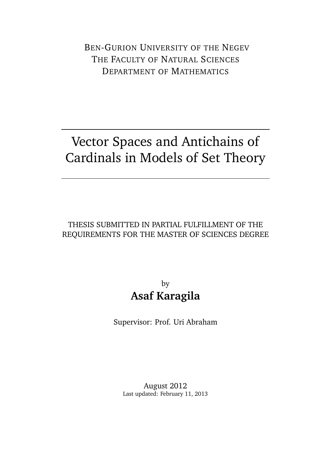BEN-GURION UNIVERSITY OF THE NEGEV THE FACULTY OF NATURAL SCIENCES DEPARTMENT OF MATHEMATICS

## Vector Spaces and Antichains of Cardinals in Models of Set Theory

### THESIS SUBMITTED IN PARTIAL FULFILLMENT OF THE REQUIREMENTS FOR THE MASTER OF SCIENCES DEGREE

### by **Asaf Karagila**

Supervisor: Prof. Uri Abraham

August 2012 Last updated: February 11, 2013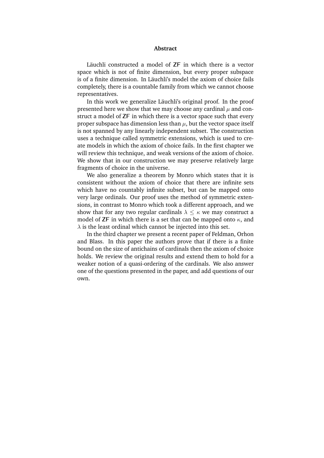#### **Abstract**

Läuchli constructed a model of **ZF** in which there is a vector space which is not of finite dimension, but every proper subspace is of a finite dimension. In Läuchli's model the axiom of choice fails completely, there is a countable family from which we cannot choose representatives.

In this work we generalize Läuchli's original proof. In the proof presented here we show that we may choose any cardinal  $\mu$  and construct a model of **ZF** in which there is a vector space such that every proper subspace has dimension less than  $\mu$ , but the vector space itself is not spanned by any linearly independent subset. The construction uses a technique called symmetric extensions, which is used to create models in which the axiom of choice fails. In the first chapter we will review this technique, and weak versions of the axiom of choice. We show that in our construction we may preserve relatively large fragments of choice in the universe.

We also generalize a theorem by Monro which states that it is consistent without the axiom of choice that there are infinite sets which have no countably infinite subset, but can be mapped onto very large ordinals. Our proof uses the method of symmetric extensions, in contrast to Monro which took a different approach, and we show that for any two regular cardinals  $\lambda \leq \kappa$  we may construct a model of **ZF** in which there is a set that can be mapped onto  $\kappa$ , and  $\lambda$  is the least ordinal which cannot be injected into this set.

In the third chapter we present a recent paper of Feldman, Orhon and Blass. In this paper the authors prove that if there is a finite bound on the size of antichains of cardinals then the axiom of choice holds. We review the original results and extend them to hold for a weaker notion of a quasi-ordering of the cardinals. We also answer one of the questions presented in the paper, and add questions of our own.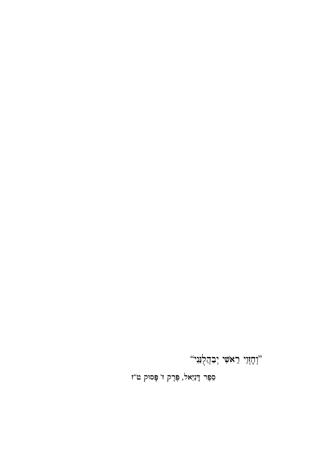סֵפֶר דָּנִיֵּאל, פֶּרֶק ז' פְּסוּק ט''ז

יוְהָזְוֵי רֵא*שִׁי* יְבַהֲלֻנַּנִּי"<sup>"</sup>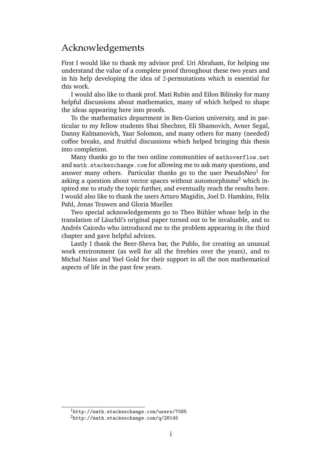### <span id="page-3-2"></span>Acknowledgements

First I would like to thank my advisor prof. Uri Abraham, for helping me understand the value of a complete proof throughout these two years and in his help developing the idea of 2-permutations which is essential for this work.

I would also like to thank prof. Mati Rubin and Eilon Bilinsky for many helpful discussions about mathematics, many of which helped to shape the ideas appearing here into proofs.

To the mathematics department in Ben-Gurion university, and in particular to my fellow students Shai Shechter, Eli Shamovich, Avner Segal, Danny Kalmanovich, Yaar Solomon, and many others for many (needed) coffee breaks, and fruitful discussions which helped bringing this thesis into completion.

Many thanks go to the two online communities of [mathoverflow.net](http://mathoverflow.net) and [math.stackexchange.com](http://math.stackexchange.com) for allowing me to ask many questions, and answer many others. Particular thanks go to the user PseudoNeo $^1$  $^1$  for asking a question about vector spaces without automorphisms<sup>[2](#page-3-1)</sup> which inspired me to study the topic further, and eventually reach the results here. I would also like to thank the users Arturo Magidin, Joel D. Hamkins, Felix Pahl, Jonas Teuwen and Gloria Mueller.

Two special acknowledgements go to Theo Bühler whose help in the translation of Läuchli's original paper turned out to be invaluable, and to Andrés Caicedo who introduced me to the problem appearing in the third chapter and gave helpful advices.

Lastly I thank the Beer-Sheva bar, the Publo, for creating an unusual work environment (as well for all the freebies over the years), and to Michal Naiss and Yael Gold for their support in all the non mathematical aspects of life in the past few years.

<span id="page-3-0"></span><sup>1</sup><http://math.stackexchange.com/users/7085>

<span id="page-3-1"></span><sup>2</sup><http://math.stackexchange.com/q/28145>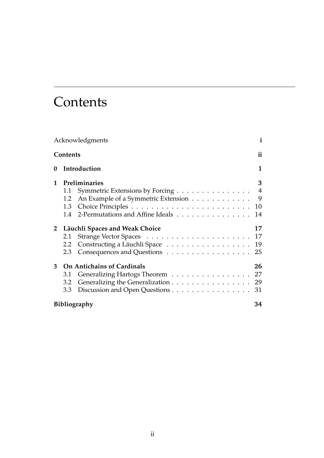# **Contents**

<span id="page-4-0"></span>

| Acknowledgments |                                         |                                                                        | $\mathbf{i}$        |
|-----------------|-----------------------------------------|------------------------------------------------------------------------|---------------------|
| <b>Contents</b> |                                         |                                                                        | ii                  |
| 0               |                                         | Introduction                                                           | 1                   |
| 1               | Preliminaries                           |                                                                        | 3<br>$\overline{4}$ |
|                 | 1.1<br>1.2                              | Symmetric Extensions by Forcing<br>An Example of a Symmetric Extension | 9                   |
|                 |                                         | 1.4 2-Permutations and Affine Ideals                                   | 10<br>14            |
|                 | 2 Läuchli Spaces and Weak Choice        |                                                                        | 17                  |
|                 | 2.1                                     |                                                                        | 17                  |
|                 | 2.2                                     | Constructing a Läuchli Space                                           | 19                  |
|                 | 2.3                                     |                                                                        | 25                  |
| 3               | <b>On Antichains of Cardinals</b><br>26 |                                                                        |                     |
|                 | 3.1                                     | Generalizing Hartogs Theorem 27                                        |                     |
|                 | 3.2                                     | Generalizing the Generalization 29                                     |                     |
|                 | 3.3                                     | Discussion and Open Questions 31                                       |                     |
|                 | Bibliography                            |                                                                        |                     |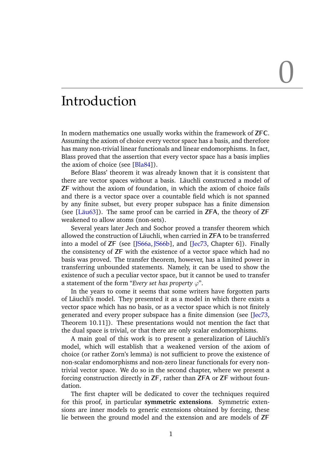# 0

### <span id="page-5-0"></span>Introduction

In modern mathematics one usually works within the framework of **ZFC**. Assuming the axiom of choice every vector space has a basis, and therefore has many non-trivial linear functionals and linear endomorphisms. In fact, Blass proved that the assertion that every vector space has a basis implies the axiom of choice (see [[Bla84](#page-38-1)]).

Before Blass' theorem it was already known that it is consistent that there are vector spaces without a basis. Läuchli constructed a model of **ZF** without the axiom of foundation, in which the axiom of choice fails and there is a vector space over a countable field which is not spanned by any finite subset, but every proper subspace has a finite dimension (see [Läu63]). The same proof can be carried in **ZFA**, the theory of **ZF** weakened to allow atoms (non-sets).

Several years later Jech and Sochor proved a transfer theorem which allowed the construction of Läuchli, when carried in **ZFA** to be transferred into a model of **ZF** (see [[JS66a](#page-38-3), [JS66b](#page-38-4)], and [[Jec73](#page-38-5), Chapter 6]). Finally the consistency of **ZF** with the existence of a vector space which had no basis was proved. The transfer theorem, however, has a limited power in transferring unbounded statements. Namely, it can be used to show the existence of such a peculiar vector space, but it cannot be used to transfer a statement of the form "*Every set has property*  $\varphi$ ".

In the years to come it seems that some writers have forgotten parts of Läuchli's model. They presented it as a model in which there exists a vector space which has no basis, or as a vector space which is not finitely generated and every proper subspace has a finite dimension (see [[Jec73](#page-38-5), Theorem 10.11]). These presentations would not mention the fact that the dual space is trivial, or that there are only scalar endomorphisms.

A main goal of this work is to present a generalization of Läuchli's model, which will establish that a weakened version of the axiom of choice (or rather Zorn's lemma) is not sufficient to prove the existence of non-scalar endomorphisms and non-zero linear functionals for every nontrivial vector space. We do so in the second chapter, where we present a forcing construction directly in **ZF**, rather than **ZFA** or **ZF** without foundation.

The first chapter will be dedicated to cover the techniques required for this proof, in particular **symmetric extensions**. Symmetric extensions are inner models to generic extensions obtained by forcing, these lie between the ground model and the extension and are models of **ZF**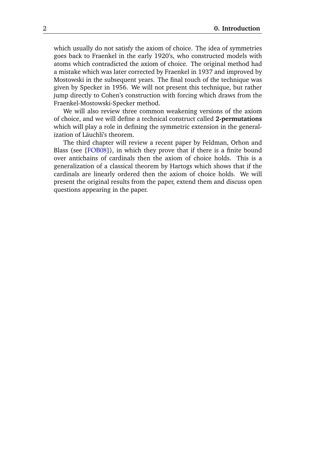which usually do not satisfy the axiom of choice. The idea of symmetries goes back to Fraenkel in the early 1920's, who constructed models with atoms which contradicted the axiom of choice. The original method had a mistake which was later corrected by Fraenkel in 1937 and improved by Mostowski in the subsequent years. The final touch of the technique was given by Specker in 1956. We will not present this technique, but rather jump directly to Cohen's construction with forcing which draws from the Fraenkel-Mostowski-Specker method.

We will also review three common weakening versions of the axiom of choice, and we will define a technical construct called **2-permutations** which will play a role in defining the symmetric extension in the generalization of Läuchli's theorem.

The third chapter will review a recent paper by Feldman, Orhon and Blass (see [[FOB08](#page-38-6)]), in which they prove that if there is a finite bound over antichains of cardinals then the axiom of choice holds. This is a generalization of a classical theorem by Hartogs which shows that if the cardinals are linearly ordered then the axiom of choice holds. We will present the original results from the paper, extend them and discuss open questions appearing in the paper.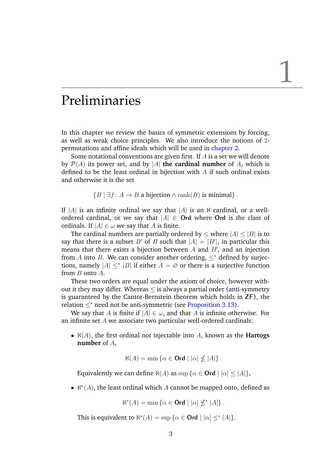### <span id="page-7-0"></span>Preliminaries

In this chapter we review the basics of symmetric extensions by forcing, as well as weak choice principles. We also introduce the notions of 2 permutations and affine ideals which will be used in [chapter 2.](#page-21-0)

Some notational conventions are given first. If A is a set we will denote by  $\mathcal{P}(A)$  its power set, and by |A| **the cardinal number** of A, which is defined to be the least ordinal in bijection with A if such ordinal exists and otherwise it is the set

 ${B \mid \exists f : A \rightarrow B \text{ a bitection } \land \text{rank}(B) \text{ is minimal}}$ .

If |A| is an infinite ordinal we say that |A| is an  $\aleph$  cardinal, or a wellordered cardinal, or we say that  $|A| \in$  **Ord** where **Ord** is the class of ordinals. If  $|A| \in \omega$  we say that A is finite.

The cardinal numbers are partially ordered by  $\leq$  where  $|A| \leq |B|$  is to say that there is a subset B' of B such that  $|A| = |B'|$ , in particular this means that there exists a bijection between  $A$  and  $B'$ , and an injection from A into B. We can consider another ordering,  $\leq^*$  defined by surjections, namely  $|A| \leq^* |B|$  if either  $A = \emptyset$  or there is a surjective function from B onto A.

These two orders are equal under the axiom of choice, however without it they may differ. Whereas  $\leq$  is always a partial order (anti-symmetry is guaranteed by the Cantor-Bernstein theorem which holds in **ZF**), the relation  $\leq^*$  need not be anti-symmetric (see [Proposition 3.13\)](#page-36-0).

We say that A is finite if  $|A| \in \omega$ , and that A is infinite otherwise. For an infinite set A we associate two particular well-ordered cardinals:

•  $\aleph(A)$ , the first ordinal not injectable into A, known as the **Hartogs number** of A,

$$
\aleph(A) = \min \left\{ \alpha \in \mathbf{Ord} \mid |\alpha| \nleq |A| \right\}.
$$

Equivalently we can define  $\aleph(A)$  as  $\sup \{ \alpha \in \text{Ord} \mid |\alpha| \leq |A| \},$ 

•  $\aleph^*(A)$ , the least ordinal which A cannot be mapped onto, defined as

$$
\aleph^*(A) = \min \{ \alpha \in \mathbf{Ord} \mid |\alpha| \nleq^* |A| \}.
$$

This is equivalent to  $\aleph^*(A) = \sup \{ \alpha \in \mathbf{Ord} \mid |\alpha| \leq^* |A| \}.$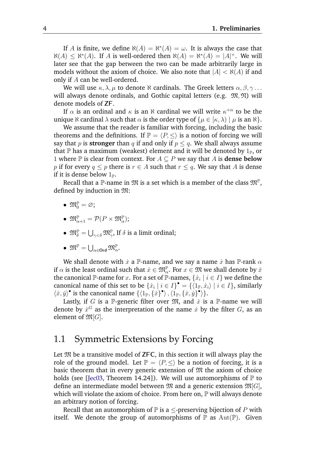If A is finite, we define  $\aleph(A) = \aleph^*(A) = \omega$ . It is always the case that  $\aleph(A) \leq \aleph^*(A)$ . If A is well-ordered then  $\aleph(A) = \aleph^*(A) = |A|^+$ . We will later see that the gap between the two can be made arbitrarily large in models without the axiom of choice. We also note that  $|A| < \aleph(A)$  if and only if A can be well-ordered.

We will use  $\kappa, \lambda, \mu$  to denote  $\aleph$  cardinals. The Greek letters  $\alpha, \beta, \gamma \ldots$ will always denote ordinals, and Gothic capital letters (e.g.  $\mathfrak{M}, \mathfrak{N}$ ) will denote models of **ZF**.

If  $\alpha$  is an ordinal and  $\kappa$  is an  $\aleph$  cardinal we will write  $\kappa^{+\alpha}$  to be the unique  $\aleph$  cardinal  $\lambda$  such that  $\alpha$  is the order type of  $\{\mu \in [\kappa, \lambda) \mid \mu \text{ is an } \aleph\}.$ 

We assume that the reader is familiar with forcing, including the basic theorems and the definitions. If  $\mathbb{P} = \langle P, \leq \rangle$  is a notion of forcing we will say that p is **stronger** than q if and only if  $p \leq q$ . We shall always assume that  $\mathbb P$  has a maximum (weakest) element and it will be denoted by  $1_{\mathbb P}$ , or 1 where  $\mathbb P$  is clear from context. For  $A \subset P$  we say that A is **dense below** p if for every  $q \leq p$  there is  $r \in A$  such that  $r \leq q$ . We say that A is dense if it is dense below  $1_{\mathbb{P}}$ .

Recall that a  $\mathbb P$ -name in  $\mathfrak M$  is a set which is a member of the class  $\mathfrak M^{\mathbb P},$ defined by induction in M:

- $\mathfrak{M}_{0}^{\mathbb{P}} = \varnothing;$
- $\mathfrak{M}^{\mathbb{P}}_{\alpha+1} = \mathcal{P}(P \times \mathfrak{M}^{\mathbb{P}}_{\alpha});$
- $\mathfrak{M}^{\mathbb{P}}_{\delta} = \bigcup_{\gamma < \delta} \mathfrak{M}^{\mathbb{P}}_{\gamma}$ , If  $\delta$  is a limit ordinal;
- $\bullet \ \mathfrak{M}^{\mathbb{P}}=\bigcup_{\alpha\in\mathsf{Ord}}\mathfrak{M}^{\mathbb{P}}_{\alpha}.$

We shall denote with  $\dot{x}$  a P-name, and we say a name  $\dot{x}$  has P-rank  $\alpha$ if  $\alpha$  is the least ordinal such that  $\dot x\in \mathfrak M^{\mathbb P}_\alpha.$  For  $x\in \mathfrak M$  we shall denote by  $\check x$ the canonical  $\mathbb P$ -name for  $x.$  For a set of  $\bar{\mathbb P}$ -names,  $\{\dot x_i\mid i\in I\}$  we define the canonical name of this set to be  $\{\dot{x}_i \mid i \in I\}$ <sup>•</sup> =  $\{\langle 1_{\mathbb{P}}, \dot{x}_i \rangle \mid i \in I\}$ , similarly  $\langle x, y \rangle^{\bullet}$  is the canonical name  $\{ \langle 1_{\mathbb{P}}, \{x \}^{\bullet} \rangle, \langle 1_{\mathbb{P}}, \{x, y \}^{\bullet} \rangle \}.$ 

Lastly, if G is a P-generic filter over  $\mathfrak{M}$ , and  $\dot{x}$  is a P-name we will denote by  $\dot{x}^G$  as the interpretation of the name  $\dot{x}$  by the filter  $G$ , as an element of  $\mathfrak{M}[G]$ .

#### <span id="page-8-0"></span>1.1 Symmetric Extensions by Forcing

Let M be a transitive model of **ZFC**, in this section it will always play the role of the ground model. Let  $\mathbb{P} = \langle P, \le \rangle$  be a notion of forcing, it is a basic theorem that in every generic extension of  $\mathfrak{M}$  the axiom of choice holds (see [[Jec03](#page-38-7), Theorem 14.24]). We will use automorphisms of  $\mathbb P$  to define an intermediate model between  $\mathfrak{M}$  and a generic extension  $\mathfrak{M}[G]$ , which will violate the axiom of choice. From here on,  $\mathbb P$  will always denote an arbitrary notion of forcing.

Recall that an automorphism of  $\mathbb P$  is a  $\leq$ -preserving bijection of  $P$  with itself. We denote the group of automorphisms of  $\mathbb P$  as  $\mathrm{Aut}(\mathbb P)$ . Given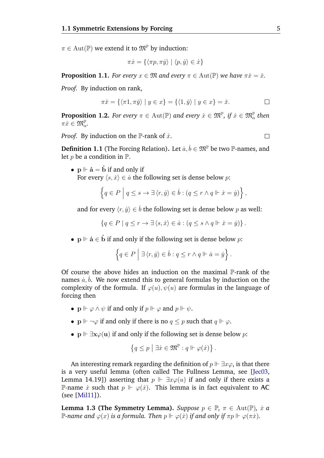$\pi \in \text{Aut}(\mathbb{P})$  we extend it to  $\mathfrak{M}^{\mathbb{P}}$  by induction:

$$
\pi \dot{x} = \{ \langle \pi p, \pi \dot{y} \rangle \mid \langle p, \dot{y} \rangle \in \dot{x} \}
$$

<span id="page-9-0"></span>**Proposition 1.1.** *For every*  $x \in \mathfrak{M}$  *and every*  $\pi \in \text{Aut}(\mathbb{P})$  *we have*  $\pi \check{x} = \check{x}$ *.* 

*Proof.* By induction on rank,

$$
\pi \check{x} = \{ \langle \pi 1, \pi \check{y} \rangle \mid y \in x \} = \{ \langle 1, \check{y} \rangle \mid y \in x \} = \check{x}.
$$

<span id="page-9-1"></span>**Proposition 1.2.** *For every*  $\pi \in \text{Aut}(\mathbb{P})$  and every  $\dot{x} \in \mathfrak{M}^{\mathbb{P}}, \text{ if } \dot{x} \in \mathfrak{M}^{\mathbb{P}}_{\alpha}$  then  $\pi \dot{x} \in \mathfrak{M}^{\mathbb{P}}_{\alpha}$ .

*Proof.* By induction on the  $\mathbb{P}$ -rank of  $\dot{x}$ .

 $\Box$ 

**Definition 1.1** (The Forcing Relation). Let  $\dot{a}, \dot{b} \in \mathfrak{M}^{\mathbb{P}}$  be two  $\mathbb{P}$ -names, and let  $p$  be a condition in  $\mathbb{P}$ .

•  $p \Vdash \dot{a} = \dot{b}$  if and only if For every  $\langle s, \dot{x} \rangle \in \dot{a}$  the following set is dense below p:

$$
\left\{ q \in P \mid q \leq s \to \exists \langle r, \dot{y} \rangle \in \dot{b} : (q \leq r \land q \Vdash \dot{x} = \dot{y}) \right\},\
$$

and for every  $\langle r, \dot{y} \rangle \in \dot{b}$  the following set is dense below p as well:

 ${q \in P \mid q \leq r \rightarrow \exists \langle s, \dot{x} \rangle \in \dot{a} : (q \leq s \land q \Vdash \dot{x} = \dot{y})}.$ 

•  $\mathbf{p} \Vdash \dot{\mathbf{a}} \in \dot{\mathbf{b}}$  if and only if the following set is dense below  $p$ :

$$
\left\{q \in P \mid \exists \langle r, y \rangle \in \dot{b} : q \leq r \land q \Vdash \dot{a} = \dot{y}\right\}.
$$

Of course the above hides an induction on the maximal P-rank of the names  $\dot{a}, \dot{b}$ . We now extend this to general formulas by induction on the complexity of the formula. If  $\varphi(u)$ ,  $\psi(u)$  are formulas in the language of forcing then

- $p \Vdash \varphi \land \psi$  if and only if  $p \Vdash \varphi$  and  $p \Vdash \psi$ .
- $p \Vdash \neg \varphi$  if and only if there is no  $q \leq p$  such that  $q \Vdash \varphi$ .
- $p \Vdash \exists x \varphi(u)$  if and only if the following set is dense below p:

$$
\left\{q\leq p\bigm|\exists\dot x\in\mathfrak M^\mathbb{P}:q\Vdash\varphi(\dot x)\right\}.
$$

An interesting remark regarding the definition of  $p \Vdash \exists x \varphi$ , is that there is a very useful lemma (often called The Fullness Lemma, see [[Jec03](#page-38-7), Lemma 14.19]) asserting that  $p \Vdash \exists x \varphi(u)$  if and only if there exists a **P-name**  $\dot{x}$  such that  $p \Vdash \varphi(\dot{x})$ . This lemma is in fact equivalent to AC (see [[Mil11](#page-38-8)]).

**Lemma 1.3 (The Symmetry Lemma).** *Suppose*  $p \in \mathbb{P}$ ,  $\pi \in \text{Aut}(\mathbb{P})$ ,  $\dot{x}$  *a* P-name and  $\varphi(x)$  *is a formula. Then*  $p \Vdash \varphi(x)$  *if and only if*  $\pi p \Vdash \varphi(\pi \dot{x})$ *.*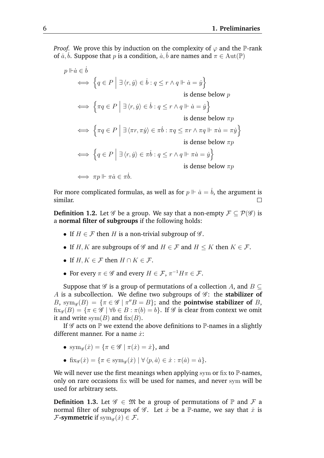*Proof.* We prove this by induction on the complexity of  $\varphi$  and the P-rank of  $\dot{a}, \dot{b}$ . Suppose that p is a condition,  $\dot{a}, \dot{b}$  are names and  $\pi \in \text{Aut}(\mathbb{P})$ 

$$
p \Vdash \dot{a} \in \dot{b}
$$
\n
$$
\iff \left\{ q \in P \mid \exists \langle r, \dot{y} \rangle \in \dot{b} : q \le r \land q \Vdash \dot{a} = \dot{y} \right\}
$$
\nis dense below  $p$ 

\n
$$
\iff \left\{ \pi q \in P \mid \exists \langle r, \dot{y} \rangle \in \dot{b} : q \le r \land q \Vdash \dot{a} = \dot{y} \right\}
$$
\nis dense below  $\pi p$ 

\n
$$
\iff \left\{ \pi q \in P \mid \exists \langle \pi r, \pi \dot{y} \rangle \in \pi \dot{b} : \pi q \le \pi r \land \pi q \Vdash \pi \dot{a} = \pi \dot{y} \right\}
$$
\nis dense below  $\pi p$ 

\n
$$
\iff \left\{ q \in P \mid \exists \langle r, \dot{y} \rangle \in \pi \dot{b} : q \le r \land q \Vdash \pi \dot{a} = \dot{y} \right\}
$$
\nis dense below  $\pi p$ 

\n
$$
\iff \pi p \Vdash \pi \dot{a} \in \pi \dot{b}.
$$

For more complicated formulas, as well as for  $p \Vdash \dot{a} = b$ , the argument is similar.  $\Box$ 

**Definition 1.2.** Let  $\mathscr G$  be a group. We say that a non-empty  $\mathcal F \subset \mathcal P(\mathscr G)$  is a **normal filter of subgroups** if the following holds:

- If  $H \in \mathcal{F}$  then H is a non-trivial subgroup of  $\mathcal{G}$ .
- If H, K are subgroups of  $\mathscr G$  and  $H \in \mathcal F$  and  $H \leq K$  then  $K \in \mathcal F$ .
- If  $H, K \in \mathcal{F}$  then  $H \cap K \in \mathcal{F}$ .
- For every  $\pi \in \mathscr{G}$  and every  $H \in \mathcal{F}$ ,  $\pi^{-1}H\pi \in \mathcal{F}$ .

Suppose that  $\mathscr G$  is a group of permutations of a collection A, and  $B \subset$ A is a subcollection. We define two subgroups of  $\mathscr{G}$ : the **stabilizer of** B, sym<sub>g</sub>(B) = { $\pi \in \mathcal{G}$  |  $\pi''B = B$ }; and the **pointwise stabilizer of** B,  $f(x,g(B)) = {\pi \in \mathscr{G} \mid \forall b \in B : \pi(b) = b}.$  If  $\mathscr{G}$  is clear from context we omit it and write  $sym(B)$  and  $fix(B)$ .

If  $\mathscr G$  acts on  $\mathbb P$  we extend the above definitions to  $\mathbb P$ -names in a slightly different manner. For a name  $\dot{x}$ :

- $\text{sym}_{\mathscr{G}}(\dot{x}) = \{\pi \in \mathscr{G} \mid \pi(\dot{x}) = \dot{x}\},\text{and}$
- fix $g(\dot{x}) = {\pi \in \text{sym}_{\mathscr{G}}(\dot{x}) \mid \forall \langle p, \dot{a} \rangle \in \dot{x} : \pi(\dot{a}) = \dot{a}}.$

We will never use the first meanings when applying sym or fix to  $\mathbb{P}$ -names, only on rare occasions fix will be used for names, and never sym will be used for arbitrary sets.

**Definition 1.3.** Let  $\mathscr{G} \in \mathfrak{M}$  be a group of permutations of  $\mathbb{P}$  and  $\mathcal{F}$  a normal filter of subgroups of  $\mathscr G$ . Let  $\dot x$  be a P-name, we say that  $\dot x$  is  $\mathcal{F}$ **-symmetric** if  $\text{sym}_{\mathscr{G}}(\dot{x}) \in \mathcal{F}$ .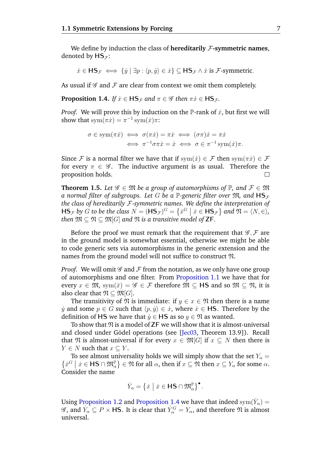We define by induction the class of **hereditarily** F**-symmetric names**, denoted by  $\mathsf{HS}_{\mathcal{F}}$ :

 $\dot{x} \in \mathsf{HS}_{\mathcal{F}} \iff \{\dot{y} \mid \exists p : \langle p, \dot{y} \rangle \in \dot{x}\} \subseteq \mathsf{HS}_{\mathcal{F}} \land \dot{x}$  is  $\mathcal{F}$ -symmetric.

As usual if  $\mathscr G$  and  $\mathcal F$  are clear from context we omit them completely.

<span id="page-11-0"></span>**Proposition 1.4.** *If*  $\dot{x} \in \mathsf{HS}_{\mathcal{F}}$  *and*  $\pi \in \mathcal{G}$  *then*  $\pi \dot{x} \in \mathsf{HS}_{\mathcal{F}}$ *.* 

*Proof.* We will prove this by induction on the  $\mathbb{P}$ -rank of  $\dot{x}$ , but first we will show that  $\text{sym}(\pi \dot{x}) = \pi^{-1} \text{sym}(\dot{x})\pi$ :

$$
\sigma \in \text{sym}(\pi \dot{x}) \iff \sigma(\pi \dot{x}) = \pi \dot{x} \iff (\sigma \pi) \dot{x} = \pi \dot{x}
$$

$$
\iff \pi^{-1} \sigma \pi \dot{x} = \dot{x} \iff \sigma \in \pi^{-1} \text{sym}(\dot{x})\pi.
$$

Since F is a normal filter we have that if  $sym(\dot{x}) \in \mathcal{F}$  then  $sym(\pi\dot{x}) \in \mathcal{F}$ for every  $\pi \in \mathscr{G}$ . The inductive argument is as usual. Therefore the proposition holds.  $\Box$ 

**Theorem 1.5.** *Let*  $\mathscr{G} \in \mathfrak{M}$  *be a group of automorphisms of*  $\mathbb{P}$ *, and*  $\mathcal{F} \in \mathfrak{M}$ *a normal filter of subgroups. Let G be a*  $\mathbb{P}$ -generic filter over  $\mathfrak{M}$ , and  $\mathsf{HS}_{\mathcal{F}}$ *the class of hereditarily* F*-symmetric names. We define the interpretation of*  $\mathsf{HS}_{\mathcal{F}}$  *by G to be the class*  $N = (\mathsf{HS}_{\mathcal{F}})^G = \{x^G \mid x \in \mathsf{HS}_{\mathcal{F}}\}$  and  $\mathfrak{N} = \langle N, \in \rangle$ , *then*  $\mathfrak{M} \subset \mathfrak{N} \subset \mathfrak{M}[G]$  *and*  $\mathfrak{N}$  *is a transitive model of* **ZF***.* 

Before the proof we must remark that the requirement that  $\mathscr{G}, \mathcal{F}$  are in the ground model is somewhat essential, otherwise we might be able to code generic sets via automorphisms in the generic extension and the names from the ground model will not suffice to construct N.

*Proof.* We will omit  $\mathscr G$  and  $\mathcal F$  from the notation, as we only have one group of automorphisms and one filter. From [Proposition 1.1](#page-9-0) we have that for every  $x \in \mathfrak{M}$ , sym $(\check{x}) = \mathscr{G} \in \mathcal{F}$  therefore  $\mathfrak{M} \subset \mathsf{H}\mathsf{S}$  and so  $\mathfrak{M} \subset \mathfrak{N}$ , it is also clear that  $\mathfrak{N} \subseteq \mathfrak{M}[G]$ .

The transitivity of  $\mathfrak N$  is immediate: if  $y \in x \in \mathfrak N$  then there is a name *y* and some *p* ∈ *G* such that  $\langle p, \hat{y} \rangle$  ∈ *x*<sup>*i*</sup>, where *x*<sup>*i*</sup> ∈ **HS**. Therefore by the definition of **HS** we have that  $\dot{y} \in$  **HS** as so  $y \in \mathfrak{N}$  as wanted.

To show that  $\mathfrak{N}$  is a model of **ZF** we will show that it is almost-universal and closed under Gödel operations (see [[Jec03](#page-38-7), Theorem 13.9]). Recall that  $\mathfrak{N}$  is almost-universal if for every  $x \in \mathfrak{M}[G]$  if  $x \subset N$  then there is  $Y \in N$  such that  $x \subseteq Y$ .

To see almost universality holds we will simply show that the set  $Y_\alpha =$  $\{x^G \mid x \in \mathsf{HS} \cap \mathfrak{M}_{\alpha}^{\mathbb{P}}\} \in \mathfrak{N}$  for all  $\alpha$ , then if  $x \subseteq \mathfrak{N}$  then  $x \subseteq Y_{\alpha}$  for some  $\alpha$ . Consider the name

$$
\dot{Y}_{\alpha} = \left\{ \dot{x} \mid \dot{x} \in \mathsf{HS} \cap \mathfrak{M}_{\alpha}^{\mathbb{P}} \right\}^{\bullet}.
$$

Using [Proposition 1.2](#page-9-1) and [Proposition 1.4](#page-11-0) we have that indeed  $\text{sym}(\dot{Y}_\alpha) =$  $\mathscr{G}$ , and  $\dot{Y_{\alpha}} \subseteq P \times \textsf{HS}$ . It is clear that  $\dot{Y_{\alpha}}^G = Y_{\alpha}$ , and therefore  $\mathfrak{N}$  is almost universal.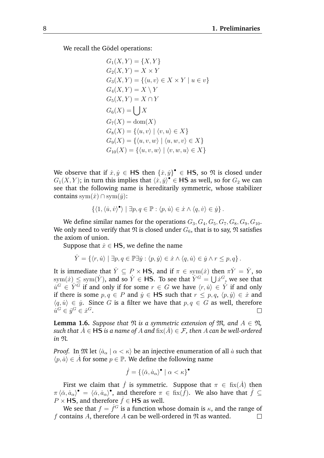We recall the Gödel operations:

$$
G_1(X, Y) = \{X, Y\}
$$
  
\n
$$
G_2(X, Y) = X \times Y
$$
  
\n
$$
G_3(X, Y) = \{(u, v) \in X \times Y \mid u \in v\}
$$
  
\n
$$
G_4(X, Y) = X \setminus Y
$$
  
\n
$$
G_5(X, Y) = X \cap Y
$$
  
\n
$$
G_6(X) = \bigcup X
$$
  
\n
$$
G_7(X) = \text{dom}(X)
$$
  
\n
$$
G_8(X) = \{(u, v) \mid \langle v, u \rangle \in X\}
$$
  
\n
$$
G_9(X) = \{(u, v, w) \mid \langle u, w, v \rangle \in X\}
$$
  
\n
$$
G_{10}(X) = \{(u, v, w) \mid \langle v, w, u \rangle \in X\}
$$

We observe that if  $\dot{x}, \dot{y} \in \mathsf{HS}$  then  $\{\dot{x}, \dot{y}\}^{\bullet} \in \mathsf{HS}$ , so  $\mathfrak N$  is closed under  $G_1(X, Y)$ ; in turn this implies that  $\langle x, y \rangle^{\bullet} \in \mathsf{HS}$  as well, so for  $G_2$  we can see that the following name is hereditarily symmetric, whose stabilizer contains sym $(\dot{x}) \cap \text{sym}(\dot{y})$ :

$$
\{\langle 1, \langle \dot{u}, \dot{v} \rangle^{\bullet} \rangle \mid \exists p, q \in \mathbb{P} : \langle p, \dot{u} \rangle \in \dot{x} \land \langle q, \dot{v} \rangle \in \dot{y}\}.
$$

We define similar names for the operations  $G_3, G_4, G_5, G_7, G_8, G_9, G_{10}$ . We only need to verify that  $\mathfrak N$  is closed under  $G_6$ , that is to say,  $\mathfrak N$  satisfies the axiom of union.

Suppose that  $\dot{x} \in \mathsf{HS}$ , we define the name

$$
\dot{Y} = \{ \langle r, \dot{u} \rangle \mid \exists p, q \in \mathbb{P} \exists \dot{y} : \langle p, \dot{y} \rangle \in \dot{x} \land \langle q, \dot{u} \rangle \in \dot{y} \land r \leq p, q \}.
$$

It is immediate that  $\dot{Y} \subseteq P \times \textsf{HS}$ , and if  $\pi \in \text{sym}(\dot{x})$  then  $\pi \dot{Y} = \dot{Y}$ , so  $\mathrm{sym}(\dot x)\leq \mathrm{sym}(\dot Y)$ , and so  $\dot Y\in \textsf{HS}.$  To see that  $\dot Y^G=\bigcup\dot x^G,$  we see that  $\dot{u}^G \in \dot{Y}^G$  if and only if for some  $r \in G$  we have  $\langle r, \dot{u} \rangle \in \dot{Y}$  if and only if there is some  $p, q \in P$  and  $\dot{y} \in \textbf{HS}$  such that  $r \leq p, q, \langle p, \dot{y} \rangle \in \dot{x}$  and  $\langle q, \dot{u} \rangle \in \dot{y}$ . Since G is a filter we have that  $p, q \in G$  as well, therefore  $\dot{u}^G \in \dot{y}^G \in \dot{x}^G$ .  $\Box$ 

**Lemma 1.6.** *Suppose that*  $\mathfrak{N}$  *is a symmetric extension of*  $\mathfrak{M}$ *, and*  $A \in \mathfrak{N}$ *, such that*  $A \in \mathsf{HS}$  *is a name of* A and  $fix(A) \in \mathcal{F}$ , then A can be well-ordered *in* N*.*

*Proof.* In  $\mathfrak{M}$  let  $\langle \dot{a}_{\alpha} | \alpha \langle \kappa \rangle$  be an injective enumeration of all  $\dot{a}$  such that  $\langle p, a \rangle \in \dot{A}$  for some  $p \in \mathbb{P}$ . We define the following name

$$
\dot{f} = \{ \langle \check{\alpha}, \dot{a}_{\alpha} \rangle^{\bullet} \mid \alpha < \kappa \}^{\bullet}
$$

First we claim that  $\dot{f}$  is symmetric. Suppose that  $\pi \in$  fix( $\dot{A}$ ) then  $\pi \langle \check{\alpha}, \dot{a}_{\alpha} \rangle^{\bullet} = \langle \check{\alpha}, \dot{a}_{\alpha} \rangle^{\bullet}$ , and therefore  $\pi \in \operatorname{fix}(\check{f})$ . We also have that  $\check{f} \subseteq$  $P \times$  **HS**, and therefore  $\dot{f} \in$  **HS** as well.

We see that  $f = \dot{f}^G$  is a function whose domain is  $\kappa$ , and the range of f contains A, therefore A can be well-ordered in  $\mathfrak N$  as wanted.  $\Box$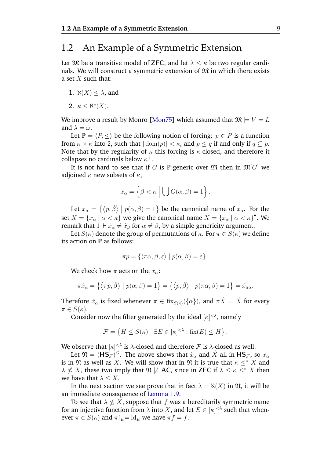#### <span id="page-13-0"></span>1.2 An Example of a Symmetric Extension

Let  $\mathfrak{M}$  be a transitive model of **ZFC**, and let  $\lambda \leq \kappa$  be two regular cardinals. We will construct a symmetric extension of  $\mathfrak M$  in which there exists a set  $X$  such that:

- 1.  $\aleph(X) < \lambda$ , and
- 2.  $\kappa \leq \aleph^*(X)$ .

We improve a result by Monro [[Mon75](#page-38-9)] which assumed that  $\mathfrak{M} \models V = L$ and  $\lambda = \omega$ .

Let  $\mathbb{P} = \langle P, \le \rangle$  be the following notion of forcing:  $p \in P$  is a function from  $\kappa \times \kappa$  into 2, such that  $|\text{dom}(p)| < \kappa$ , and  $p \leq q$  if and only if  $q \subseteq p$ . Note that by the regularity of  $\kappa$  this forcing is  $\kappa$ -closed, and therefore it collapses no cardinals below  $\kappa^+$ .

It is not hard to see that if G is P-generic over  $\mathfrak{M}$  then in  $\mathfrak{M}[G]$  we adjoined  $\kappa$  new subsets of  $\kappa$ ,

$$
x_{\alpha} = \left\{ \beta < \kappa \mid \bigcup G(\alpha, \beta) = 1 \right\}.
$$

Let  $\dot{x}_{\alpha} = \{ \langle p, \check{\beta} \rangle \mid p(\alpha, \beta) = 1 \}$  be the canonical name of  $x_{\alpha}$ . For the set  $X = \{x_\alpha \mid \alpha < \kappa\}$  we give the canonical name  $\dot{X} = \{\dot{x}_\alpha \mid \alpha < \kappa\}^\bullet$ . We remark that  $1 \Vdash \dot{x}_\alpha \neq \dot{x}_\beta$  for  $\alpha \neq \beta$ , by a simple genericity argument.

Let  $S(\kappa)$  denote the group of permutations of  $\kappa$ . For  $\pi \in S(\kappa)$  we define its action on  $\mathbb P$  as follows:

$$
\pi p = \{ \langle \pi \alpha, \beta, \varepsilon \rangle \mid p(\alpha, \beta) = \varepsilon \}.
$$

We check how  $\pi$  acts on the  $\dot{x}_{\alpha}$ :

$$
\pi \dot{x}_{\alpha} = \{ \langle \pi p, \check{\beta} \rangle \mid p(\alpha, \beta) = 1 \} = \{ \langle p, \check{\beta} \rangle \mid p(\pi \alpha, \beta) = 1 \} = \dot{x}_{\pi \alpha}.
$$

Therefore  $\dot{x}_\alpha$  is fixed whenever  $\pi \in \mathrm{fix}_{S(\kappa)}(\{\alpha\})$ , and  $\pi \dot{X} = \dot{X}$  for every  $\pi \in S(\kappa)$ .

Consider now the filter generated by the ideal  $[\kappa]^{< \lambda}$ , namely

$$
\mathcal{F} = \left\{ H \le S(\kappa) \mid \exists E \in [\kappa]^{<\lambda} : \text{fix}(E) \le H \right\}.
$$

We observe that  $\kappa$  |  $\langle \cdot \rangle$  is  $\lambda$ -closed and therefore  $\mathcal F$  is  $\lambda$ -closed as well.

Let  $\mathfrak{N} = (\mathsf{HS}_{\mathcal{F}})^G$ . The above shows that  $\dot{x}_\alpha$  and  $\dot{X}$  all in  $\mathsf{HS}_{\mathcal{F}}$ , so  $x_\alpha$ is in  $\mathfrak N$  as well as X. We will show that in  $\mathfrak N$  it is true that  $\kappa \leq X$  and  $\lambda \nleq X$ , these two imply that  $\mathfrak{N} \not\models AC$ , since in **ZFC** if  $\lambda \leq \kappa \leq^* X$  then we have that  $\lambda \leq X$ .

In the next section we see prove that in fact  $\lambda = \aleph(X)$  in  $\mathfrak{N}$ , it will be an immediate consequence of [Lemma 1.9.](#page-16-0)

To see that  $\lambda \nleq X$ , suppose that  $\dot{f}$  was a hereditarily symmetric name for an injective function from  $\lambda$  into X, and let  $E \in [\kappa]^{<\lambda}$  such that whenever  $\pi \in S(\kappa)$  and  $\pi|_E = \text{id}_E$  we have  $\pi f = f$ .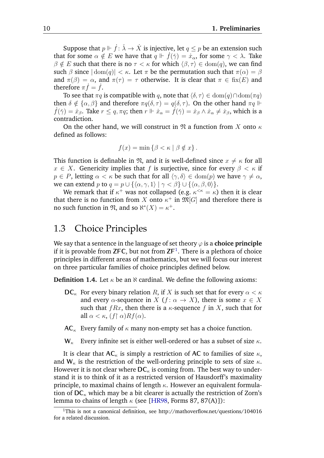Suppose that  $p \Vdash \dot{f} : \check{\lambda} \to \dot{X}$  is injective, let  $q \leq p$  be an extension such that for some  $\alpha \notin E$  we have that  $q \Vdash \dot{f}(\check{\gamma}) = \dot{x}_\alpha$ , for some  $\gamma < \lambda$ . Take  $\beta \notin E$  such that there is no  $\tau < \kappa$  for which  $\langle \beta, \tau \rangle \in \text{dom}(q)$ , we can find such  $\beta$  since  $|\text{dom}(q)| < \kappa$ . Let  $\pi$  be the permutation such that  $\pi(\alpha) = \beta$ and  $\pi(\beta) = \alpha$ , and  $\pi(\tau) = \tau$  otherwise. It is clear that  $\pi \in$  fix(E) and therefore  $\pi f = f$ .

To see that  $\pi q$  is compatible with q, note that  $\langle \delta, \tau \rangle \in \text{dom}(q) \cap \text{dom}(\pi q)$ then  $\delta \notin {\alpha, \beta}$  and therefore  $\pi q(\delta, \tau) = q(\delta, \tau)$ . On the other hand  $\pi q \Vdash$  $f(\check{\gamma}) = \dot{x}_{\beta}$ . Take  $r \leq q$ ,  $\pi q$ ; then  $r \Vdash \dot{x}_{\alpha} = f(\check{\gamma}) = \dot{x}_{\beta} \wedge \dot{x}_{\alpha} \neq \dot{x}_{\beta}$ , which is a contradiction.

On the other hand, we will construct in  $\mathfrak{N}$  a function from X onto  $\kappa$ defined as follows:

$$
f(x) = \min \{ \beta < \kappa \mid \beta \notin x \} \, .
$$

This function is definable in  $\mathfrak{N}$ , and it is well-defined since  $x \neq \kappa$  for all  $x \in X$ . Genericity implies that f is surjective, since for every  $\beta < \kappa$  if  $p \in P$ , letting  $\alpha < \kappa$  be such that for all  $\langle \gamma, \delta \rangle \in \text{dom}(p)$  we have  $\gamma \neq \alpha$ , we can extend p to  $q = p \cup \{\langle \alpha, \gamma, 1 \rangle \mid \gamma < \beta\} \cup \{\langle \alpha, \beta, 0 \rangle\}.$ 

We remark that if  $\kappa^+$  was not collapsed (e.g.  $\kappa^{<\kappa} = \kappa$ ) then it is clear that there is no function from X onto  $\kappa^+$  in  $\mathfrak{M}[G]$  and therefore there is no such function in  $\mathfrak{N}$ , and so  $\aleph^*(X) = \kappa^+$ .

#### <span id="page-14-0"></span>1.3 Choice Principles

We say that a sentence in the language of set theory  $\varphi$  is a **choice principle** if it is provable from **ZFC**, but not from **ZF**[1](#page-14-1) . There is a plethora of choice principles in different areas of mathematics, but we will focus our interest on three particular families of choice principles defined below.

**Definition 1.4.** Let  $\kappa$  be an  $\aleph$  cardinal. We define the following axioms:

- **DC**<sub>κ</sub> For every binary relation R, if X is such set that for every  $\alpha < \kappa$ and every  $\alpha$ -sequence in X ( $f: \alpha \to X$ ), there is some  $x \in X$ such that  $fRx$ , then there is a  $\kappa$ -sequence f in X, such that for all  $\alpha < \kappa$ ,  $(f \restriction \alpha) R f(\alpha)$ .
- $AC_{\kappa}$  Every family of  $\kappa$  many non-empty set has a choice function.
- $W_{\kappa}$  Every infinite set is either well-ordered or has a subset of size  $\kappa$ .

It is clear that  $AC_{\kappa}$  is simply a restriction of AC to families of size  $\kappa$ , and  $W_{\kappa}$  is the restriction of the well-ordering principle to sets of size  $\kappa$ . However it is not clear where  $DC_{\kappa}$  is coming from. The best way to understand it is to think of it as a restricted version of Hausdorff's maximality principle, to maximal chains of length  $\kappa$ . However an equivalent formulation of  $DC_{\kappa}$  which may be a bit clearer is actually the restriction of Zorn's lemma to chains of length  $\kappa$  (see [[HR98](#page-38-10), Forms 87, 87(A)]):

<span id="page-14-1"></span><sup>1</sup>This is not a canonical definition, see <http://mathoverflow.net/questions/104016> for a related discussion.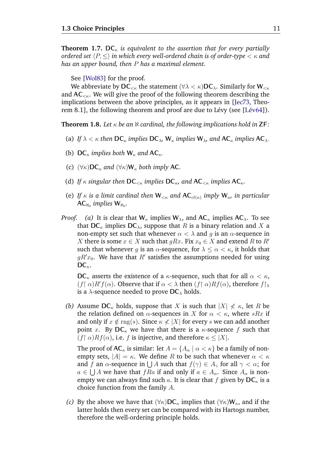**Theorem 1.7.**  $DC_{\kappa}$  *is equivalent to the assertion that for every partially ordered set*  $\langle P, \leq \rangle$  *in which every well-ordered chain is of order-type*  $\langle \kappa \rangle$  *and has an upper bound, then* P *has a maximal element.*

See [[Wol83](#page-39-0)] for the proof.

We abbreviate by  $DC_{< \kappa}$  the statement ( $\forall \lambda < \kappa$ )  $DC_{\lambda}$ . Similarly for  $W_{< \kappa}$ and  $AC_{\leq\kappa}$ . We will give the proof of the following theorem describing the implications between the above principles, as it appears in [[Jec73](#page-38-5), Theorem 8.1], the following theorem and proof are due to Lévy (see  $[Lév64]$ ).

<span id="page-15-0"></span>**Theorem 1.8.** Let  $\kappa$  be an  $\aleph$  cardinal, the following implications hold in **ZF**:

- (a) *If*  $\lambda < \kappa$  *then*  $\mathbf{DC}_{\kappa}$  *implies*  $\mathbf{DC}_{\lambda}$ ,  $\mathbf{W}_{\kappa}$  *implies*  $\mathbf{W}_{\lambda}$ *, and*  $\mathbf{AC}_{\kappa}$  *implies*  $\mathbf{AC}_{\lambda}$ *.*
- (b)  $DC_{\kappa}$  *implies both*  $W_{\kappa}$  *and*  $AC_{\kappa}$ *.*
- (c)  $(\forall \kappa) \mathsf{DC}_{\kappa}$  *and*  $(\forall \kappa) \mathsf{W}_{\kappa}$  *both imply* AC.
- (d) *If*  $\kappa$  *singular then*  $DC_{\leq \kappa}$  *implies*  $DC_{\kappa}$ *, and*  $AC_{\leq \kappa}$  *implies*  $AC_{\kappa}$ *.*
- (e) If  $\kappa$  is a limit cardinal then  $W_{\leq \kappa}$  and  $AC_{cf(\kappa)}$  imply  $W_{\kappa}$ , in particular  $AC_{\aleph_0}$  implies  $W_{\aleph_0}$ .
- *Proof.* (a) It is clear that  $W_k$  implies  $W_\lambda$ , and  $AC_k$  implies  $AC_\lambda$ . To see that  $DC_{\kappa}$  implies  $DC_{\lambda}$ , suppose that R is a binary relation and X a non-empty set such that whenever  $\alpha < \lambda$  and g is an  $\alpha$ -sequence in X there is some  $x \in X$  such that  $gRx$ . Fix  $x_0 \in X$  and extend R to R' such that whenever g is an  $\alpha$ -sequence, for  $\lambda \leq \alpha < \kappa$ , it holds that  $gR'x_0$ . We have that  $R'$  satisfies the assumptions needed for using  $DC_{\kappa}$ .

 $DC_{\kappa}$  asserts the existence of a  $\kappa$ -sequence, such that for all  $\alpha < \kappa$ ,  $(f \mid \alpha) R' f(\alpha)$ . Observe that if  $\alpha < \lambda$  then  $(f \mid \alpha) R f(\alpha)$ , therefore  $f \mid_{\lambda}$ is a  $\lambda$ -sequence needed to prove  $DC_{\lambda}$  holds.

*(b)* Assume  $DC_{\kappa}$  holds, suppose that X is such that  $|X| \nless \kappa$ , let R be the relation defined on  $\alpha$ -sequences in X for  $\alpha < \kappa$ , where sRx if and only if  $x \notin \text{rng}(s)$ . Since  $\kappa \not\leq |X|$  for every s we can add another point x. By  $DC_{\kappa}$  we have that there is a  $\kappa$ -sequence f such that  $(f \restriction \alpha) R f(\alpha)$ , i.e. f is injective, and therefore  $\kappa \leq |X|$ .

The proof of  $AC_{\kappa}$  is similar: let  $A = \{A_{\alpha} \mid \alpha < \kappa\}$  be a family of nonempty sets,  $|A| = \kappa$ . We define R to be such that whenever  $\alpha < \kappa$ and f an  $\alpha$ -sequence in  $\bigcup A$  such that  $f(\gamma) \in A_{\gamma}$  for all  $\gamma < \alpha$ ; for  $a \in \bigcup A$  we have that  $fRa$  if and only if  $a \in A_\alpha$ . Since  $A_\alpha$  is nonempty we can always find such a. It is clear that f given by  $DC_{\kappa}$  is a choice function from the family A.

*(c)* By the above we have that  $(\forall \kappa)$ DC<sub>K</sub> implies that  $(\forall \kappa)$ W<sub>K</sub>, and if the latter holds then every set can be compared with its Hartogs number, therefore the well-ordering principle holds.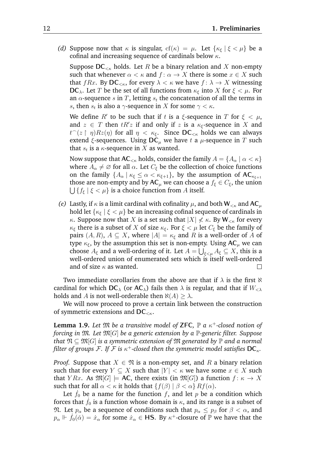*(d)* Suppose now that  $\kappa$  is singular,  $cf(\kappa) = \mu$ . Let  $\{\kappa_{\xi} \mid \xi < \mu\}$  be a cofinal and increasing sequence of cardinals below  $\kappa$ .

Suppose  $DC_{\leq \kappa}$  holds. Let R be a binary relation and X non-empty such that whenever  $\alpha < \kappa$  and  $f: \alpha \to X$  there is some  $x \in X$  such that fRx. By  $DC_{\leq \kappa}$ , for every  $\lambda \leq \kappa$  we have  $f: \lambda \to X$  witnessing **DC**<sub>λ</sub>. Let T be the set of all functions from  $\kappa_{\xi}$  into X for  $\xi < \mu$ . For an  $\alpha$ -sequence s in T, letting  $s_t$  the concatenation of all the terms in s, then  $s_t$  is also a  $\gamma$ -sequence in X for some  $\gamma < \kappa$ .

We define  $R'$  to be such that if t is a  $\xi$ -sequence in T for  $\xi < \mu$ , and  $z \in T$  then  $tR'z$  if and only if z is a  $\kappa_{\xi}$ -sequence in X and  $t^-(z \restriction \eta)Rz(\eta)$  for all  $\eta < \kappa_{\xi}$ . Since  $\mathsf{DC}_{\leq \kappa}$  holds we can always extend  $\xi$ -sequences. Using  $DC_\mu$  we have t a  $\mu$ -sequence in T such that  $s_t$  is a  $\kappa$ -sequence in  $X$  as wanted.

Now suppose that  $AC_{\leq \kappa}$  holds, consider the family  $A = \{A_\alpha \mid \alpha < \kappa\}$ where  $A_{\alpha} \neq \emptyset$  for all  $\alpha$ . Let  $C_{\xi}$  be the collection of choice functions on the family  $\{A_{\alpha} \mid \kappa_{\xi} \leq \alpha < \kappa_{\xi+1}\}$ , by the assumption of  $AC_{\kappa_{\xi+1}}$ those are non-empty and by  $AC_\mu$  we can choose a  $f_\xi \in C_\xi$ , the union  $\bigcup \, \{ f_{\xi} \mid \xi < \mu \}$  is a choice function from A itself.

*(e)* Lastly, if  $\kappa$  is a limit cardinal with cofinality  $\mu$ , and both  $W_{\leq \kappa}$  and AC<sub> $\mu$ </sub> hold let  $\{\kappa_{\xi} \mid \xi < \mu\}$  be an increasing cofinal sequence of cardinals in κ. Suppose now that X is a set such that  $|X| \nless \kappa$ . By  $W_{\leq \kappa}$  for every  $\kappa_{\xi}$  there is a subset of X of size  $\kappa_{\xi}$ . For  $\xi < \mu$  let  $C_{\xi}$  be the family of pairs  $(A, R)$ ,  $A \subseteq X$ , where  $|A| = \kappa_{\xi}$  and R is a well-order of A of type  $\kappa_{\xi}$ , by the assumption this set is non-empty. Using  $AC_{\mu}$  we can choose  $A_\xi$  and a well-ordering of it. Let  $A=\bigcup_{\xi<\mu}A_\xi\subseteq X,$  this is a well-ordered union of enumerated sets which is itself well-ordered and of size  $\kappa$  as wanted.  $\Box$ 

Two immediate corollaries from the above are that if  $\lambda$  is the first  $\aleph$ cardinal for which  $DC_{\lambda}$  (or  $AC_{\lambda}$ ) fails then  $\lambda$  is regular, and that if  $W_{\leq \lambda}$ holds and A is not well-orderable then  $\aleph(A) > \lambda$ .

We will now proceed to prove a certain link between the construction of symmetric extensions and  $DC_{\leq\kappa}$ .

<span id="page-16-0"></span>**Lemma 1.9.** *Let*  $\mathfrak{M}$  *be a transitive model of* **ZFC**,  $\mathbb{P}$  *a*  $\kappa^+$ -closed notion of *forcing in* M*. Let* M[G] *be a generic extension by a* P*-generic filter. Suppose that*  $\mathfrak{N} \subseteq \mathfrak{M}[G]$  *is a symmetric extension of*  $\mathfrak{M}$  *generated by*  $\mathbb{P}$  *and a normal* filter of groups  $\mathcal{F}.$  If  $\mathcal{F}$  is  $\kappa^+$ -closed then the symmetric model satisfies  $\mathsf{DC}_\kappa.$ 

*Proof.* Suppose that  $X \in \mathfrak{N}$  is a non-empty set, and R a binary relation such that for every  $Y \subseteq X$  such that  $|Y| < \kappa$  we have some  $x \in X$  such that Y Rx. As  $\mathfrak{M}[G] \models AC$ , there exists (in  $\mathfrak{M}[G]$ ) a function  $f: \kappa \to X$ such that for all  $\alpha < \kappa$  it holds that  $\{f(\beta) \mid \beta < \alpha\} R f(\alpha)$ .

Let  $f_0$  be a name for the function f, and let p be a condition which forces that  $f_0$  is a function whose domain is  $\kappa$ , and its range is a subset of M. Let  $p_{\alpha}$  be a sequence of conditions such that  $p_{\alpha} \leq p_{\beta}$  for  $\beta < \alpha$ , and  $p_\alpha \Vdash \dot{f}_0(\check{\alpha}) = \dot{x}_\alpha$  for some  $\dot{x}_\alpha \in \textsf{HS}$ . By  $\kappa^+$ -closure of  $\mathbb P$  we have that the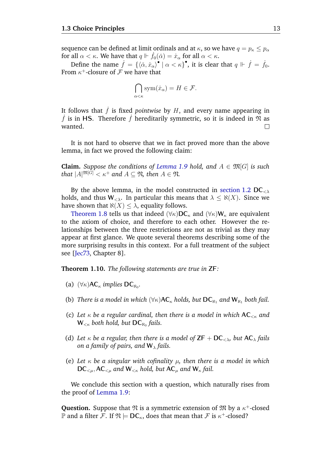sequence can be defined at limit ordinals and at  $\kappa$ , so we have  $q = p_{\kappa} \leq p_{\alpha}$ for all  $\alpha < \kappa$ . We have that  $q \Vdash f_0(\check{\alpha}) = \dot{x}_\alpha$  for all  $\alpha < \kappa$ .

Define the name  $\dot{f} = \{ \langle \check \alpha, \dot x_\alpha \rangle^\bullet \mid \alpha < \kappa \}^\bullet,$  it is clear that  $q \Vdash \dot{f} = \dot{f}_0.$ From  $\kappa^+$ -closure of  ${\cal F}$  we have that

$$
\bigcap_{\alpha < \kappa} \text{sym}(\dot{x}_\alpha) = H \in \mathcal{F}.
$$

It follows that  $\hat{f}$  is fixed *pointwise* by  $H$ , and every name appearing in  $\dot{f}$  is in HS. Therefore  $\dot{f}$  hereditarily symmetric, so it is indeed in  $\mathfrak{N}$  as wanted.  $\Box$ 

It is not hard to observe that we in fact proved more than the above lemma, in fact we proved the following claim:

**Claim.** *Suppose the conditions of [Lemma 1.9](#page-16-0) hold, and*  $A \in \mathfrak{M}[G]$  *is such that*  $|A|^{\mathfrak{M}[G]} < \kappa^+$  *and*  $A \subseteq \mathfrak{N}$ *, then*  $A \in \mathfrak{N}$ *.* 

By the above lemma, in the model constructed in [section 1.2](#page-13-0)  $DC_{\leq \lambda}$ holds, and thus  $W_{\leq \lambda}$ . In particular this means that  $\lambda \leq \aleph(X)$ . Since we have shown that  $\aleph(X) \leq \lambda$ , equality follows.

[Theorem 1.8](#page-15-0) tells us that indeed  $(\forall \kappa)$ DC<sub>k</sub> and  $(\forall \kappa)$ W<sub>k</sub> are equivalent to the axiom of choice, and therefore to each other. However the relationships between the three restrictions are not as trivial as they may appear at first glance. We quote several theorems describing some of the more surprising results in this context. For a full treatment of the subject see [[Jec73](#page-38-5), Chapter 8].

**Theorem 1.10.** *The following statements are true in* **ZF***:*

- (a)  $(\forall \kappa)$ AC<sub> $\kappa$ </sub> *implies* DC<sub>N<sub>0</sub></sub>.
- (b) *There is a model in which*  $(\forall \kappa)$ AC<sub> $\kappa$ </sub> *holds, but* **DC**<sub>N<sub>1</sub></sub> *and* **W**<sub>N<sub>1</sub></sub> *both fail.*
- (c) *Let* κ *be a regular cardinal, then there is a model in which* **AC**<κ *and*  $\mathsf{W}_{<\kappa}$  both hold, but  $\mathsf{DC}_{\aleph_0}$  fails.
- (d) Let  $\kappa$  be a regular, then there is a model of  $\mathsf{ZF} + \mathsf{DC}_{\leq \lambda}$ , but  $\mathsf{AC}_{\lambda}$  fails *on a family of pairs, and*  $W_{\lambda}$  *fails.*
- (e) *Let* κ *be a singular with cofinality* µ*, then there is a model in which*  $DC_{\leq u}$ ,  $AC_{\leq u}$  and  $W_{\leq \kappa}$  hold, but  $AC_u$  and  $W_{\kappa}$  fail.

We conclude this section with a question, which naturally rises from the proof of [Lemma 1.9:](#page-16-0)

**Question.** Suppose that  $\mathfrak{N}$  is a symmetric extension of  $\mathfrak{M}$  by a  $\kappa^+$ -closed  $\mathbb P$  and a filter  $\mathcal F.$  If  $\mathfrak N\models \mathsf{DC}_\kappa,$  does that mean that  $\mathcal F$  is  $\kappa^+{\text{-closed}}?$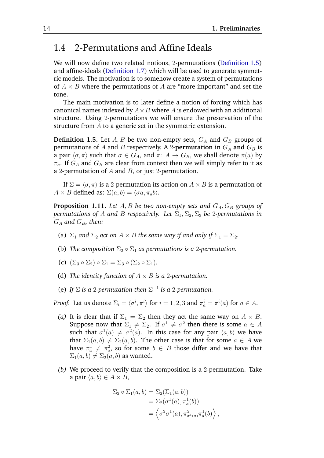### <span id="page-18-0"></span>1.4 2-Permutations and Affine Ideals

We will now define two related notions, 2-permutations [\(Definition 1.5\)](#page-18-1) and affine-ideals [\(Definition 1.7\)](#page-20-0) which will be used to generate symmetric models. The motivation is to somehow create a system of permutations of  $A \times B$  where the permutations of A are "more important" and set the tone.

The main motivation is to later define a notion of forcing which has canonical names indexed by  $A \times B$  where A is endowed with an additional structure. Using 2-permutations we will ensure the preservation of the structure from A to a generic set in the symmetric extension.

<span id="page-18-1"></span>**Definition 1.5.** Let  $A, B$  be two non-empty sets,  $G_A$  and  $G_B$  groups of permutations of A and B respectively. A 2-**permutation in**  $G_A$  and  $G_B$  is a pair  $\langle \sigma, \pi \rangle$  such that  $\sigma \in G_A$ , and  $\pi \colon A \to G_B$ , we shall denote  $\pi(a)$  by  $\pi_a$ . If  $G_A$  and  $G_B$  are clear from context then we will simply refer to it as a 2-permutation of  $A$  and  $B$ , or just 2-permutation.

If  $\Sigma = \langle \sigma, \pi \rangle$  is a 2-permutation its action on  $A \times B$  is a permutation of  $A \times B$  defined as:  $\Sigma(a, b) = \langle \sigma a, \pi_a b \rangle$ .

**Proposition 1.11.** Let  $A, B$  be two non-empty sets and  $G_A, G_B$  groups of *permutations of A and B respectively. Let*  $\Sigma_1$ ,  $\Sigma_2$ ,  $\Sigma_3$  *be 2-permutations in*  $G_A$  and  $G_B$ , then:

- (a)  $\Sigma_1$  *and*  $\Sigma_2$  *act on*  $A \times B$  *the same way if and only if*  $\Sigma_1 = \Sigma_2$ *.*
- (b) *The composition*  $\Sigma_2 \circ \Sigma_1$  *as permutations is a 2-permutation.*
- (c)  $(\Sigma_3 \circ \Sigma_2) \circ \Sigma_1 = \Sigma_3 \circ (\Sigma_2 \circ \Sigma_1)$ .
- (d) *The identity function of*  $A \times B$  *is a 2-permutation.*
- (e) If  $\Sigma$  *is a 2-permutation then*  $\Sigma^{-1}$  *is a 2-permutation.*

*Proof.* Let us denote  $\Sigma_i = \langle \sigma^i, \pi^i \rangle$  for  $i = 1, 2, 3$  and  $\pi_a^i = \pi^i(a)$  for  $a \in A$ .

- *(a)* It is clear that if  $\Sigma_1 = \Sigma_2$  then they act the same way on  $A \times B$ . Suppose now that  $\Sigma_1 \neq \Sigma_2$ . If  $\sigma^1 \neq \sigma^2$  then there is some  $a \in A$ such that  $\sigma^1(a) \neq \sigma^2(a)$ . In this case for any pair  $\langle a, b \rangle$  we have that  $\Sigma_1(a, b) \neq \Sigma_2(a, b)$ . The other case is that for some  $a \in A$  we have  $\pi^1_a \neq \pi^2_a$ , so for some  $b \in B$  those differ and we have that  $\Sigma_1(a, b) \neq \Sigma_2(a, b)$  as wanted.
- *(b)* We proceed to verify that the composition is a 2-permutation. Take a pair  $\langle a, b \rangle \in A \times B$ ,

$$
\Sigma_2 \circ \Sigma_1(a, b) = \Sigma_2(\Sigma_1(a, b))
$$
  
= 
$$
\Sigma_2(\sigma^1(a), \pi^1_a(b))
$$
  
= 
$$
\left\langle \sigma^2 \sigma^1(a), \pi^2_{\sigma^1(a)} \pi^1_a(b) \right\rangle,
$$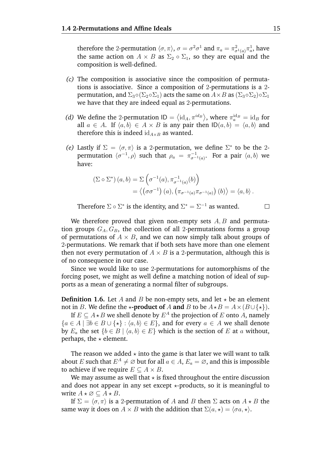therefore the 2-permutation  $\langle \sigma, \pi \rangle$ ,  $\sigma = \sigma^2 \sigma^1$  and  $\pi_a = \pi^2_{\sigma^1(a)} \pi^1_a$ , have the same action on  $A \times B$  as  $\Sigma_2 \circ \Sigma_1$ , so they are equal and the composition is well-defined.

- *(c)* The composition is associative since the composition of permutations is associative. Since a composition of 2-permutations is a 2 permutation, and  $\Sigma_3 \circ (\Sigma_2 \circ \Sigma_1)$  acts the same on  $A \times B$  as  $(\Sigma_3 \circ \Sigma_2) \circ \Sigma_1$ we have that they are indeed equal as 2-permutations.
- (*d*) We define the 2-permutation  $ID = \langle id_A, \pi^{id_B} \rangle$ , where  $\pi_a^{id_B} = id_B$  for all  $a \in A$ . If  $\langle a, b \rangle \in A \times B$  is any pair then  $ID(a, b) = \langle a, b \rangle$  and therefore this is indeed  $id_{A\times B}$  as wanted.
- *(e)* Lastly if  $\Sigma = \langle \sigma, \pi \rangle$  is a 2-permutation, we define  $\Sigma^*$  to be the 2permutation  $\langle \sigma^{-1}, \rho \rangle$  such that  $\rho_a = \pi_{\sigma^{-1}}^{-1}$  $\stackrel{-1}{\sigma^{-1}(a)}$ . For a pair  $\langle a, b \rangle$  we have:

$$
\begin{aligned} \left(\Sigma \circ \Sigma^*\right)(a, b) &= \Sigma\left(\sigma^{-1}(a), \pi_{\sigma^{-1}(a)}^{-1}(b)\right) \\ &= \left\langle \left(\sigma \sigma^{-1}\right)(a), \left(\pi_{\sigma^{-1}(a)} \pi_{\sigma^{-1}(a)}\right)(b)\right\rangle = \left\langle a, b\right\rangle. \end{aligned}
$$

Therefore  $\Sigma \circ \Sigma^*$  is the identity, and  $\Sigma^* = \Sigma^{-1}$  as wanted.

We therefore proved that given non-empty sets  $A, B$  and permutation groups  $G_A, G_B$ , the collection of all 2-permutations forms a group of permutations of  $A \times B$ , and we can now simply talk about groups of 2-permutations. We remark that if both sets have more than one element then not every permutation of  $A \times B$  is a 2-permutation, although this is of no consequence in our case.

Since we would like to use 2-permutations for automorphisms of the forcing poset, we might as well define a matching notion of ideal of supports as a mean of generating a normal filter of subgroups.

**Definition 1.6.** Let A and B be non-empty sets, and let  $\star$  be an element not in B. We define the  $\star$ **-product of** A **and** B to be  $A \star B = A \times (B \cup \{\star\}).$ 

If  $E \subseteq A {\star} B$  we shell denote by  $E^A$  the projection of  $E$  onto  $A$ , namely  ${a \in A \mid \exists b \in B \cup \{\star\} : \langle a, b \rangle \in E}$ , and for every  $a \in A$  we shall denote by  $E_a$  the set  $\{b \in B \mid \langle a, b \rangle \in E\}$  which is the section of E at a without, perhaps, the  $\star$  element.

The reason we added  $\star$  into the game is that later we will want to talk about E such that  $E^A \neq \emptyset$  but for all  $a \in A$ ,  $E_a = \emptyset$ , and this is impossible to achieve if we require  $E \subseteq A \times B$ .

We may assume as well that  $\star$  is fixed throughout the entire discussion and does not appear in any set except  $\star$ -products, so it is meaningful to write  $A \star \emptyset \subseteq A \star B$ .

If  $\Sigma = \langle \sigma, \pi \rangle$  is a 2-permutation of A and B then  $\Sigma$  acts on  $A \star B$  the same way it does on  $A \times B$  with the addition that  $\Sigma(a, \star) = \langle \sigma a, \star \rangle$ .

 $\Box$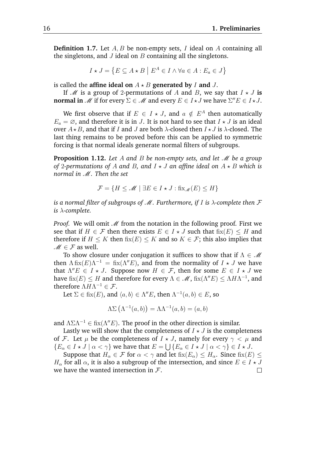<span id="page-20-0"></span>**Definition 1.7.** Let A, B be non-empty sets, I ideal on A containing all the singletons, and  $J$  ideal on  $B$  containing all the singletons.

$$
I \star J = \{ E \subseteq A \star B \mid E^A \in I \land \forall a \in A : E_a \in J \}
$$

is called the **affine ideal on**  $A \star B$  **generated by** I **and** J.

If M is a group of 2-permutations of A and B, we say that  $I \star J$  is **normal in** M if for every  $\Sigma \in M$  and every  $E \in I \star J$  we have  $\Sigma'' E \in I \star J$ .

We first observe that if  $E \in I \star J$ , and  $a \notin E^A$  then automatically  $E_a = \emptyset$ , and therefore it is in J. It is not hard to see that  $I \star J$  is an ideal over  $A \star B$ , and that if I and J are both  $\lambda$ -closed then  $I \star J$  is  $\lambda$ -closed. The last thing remains to be proved before this can be applied to symmetric forcing is that normal ideals generate normal filters of subgroups.

<span id="page-20-1"></span>**Proposition 1.12.** Let A and B be non-empty sets, and let M be a group *of* 2-permutations of A and B, and  $I \star J$  an affine ideal on  $A \star B$  which is *normal in* M*. Then the set*

$$
\mathcal{F} = \{ H \le \mathcal{M} \mid \exists E \in I \star J : \text{fix}_{\mathcal{M}}(E) \le H \}
$$

*is a normal filter of subgroups of*  $M$ *. Furthermore, if* I *is*  $\lambda$ -complete then  $\mathcal F$ *is* λ*-complete.*

*Proof.* We will omit  $M$  from the notation in the following proof. First we see that if  $H \in \mathcal{F}$  then there exists  $E \in I \star J$  such that  $fix(E) \leq H$  and therefore if  $H \leq K$  then  $fix(E) \leq K$  and so  $K \in \mathcal{F}$ ; this also implies that  $M \in \mathcal{F}$  as well.

To show closure under conjugation it suffices to show that if  $\Lambda \in \mathcal{M}$ then  $\Lambda$  fix $(E)\Lambda^{-1} =$  fix $(\Lambda''E)$ , and from the normality of  $I \star J$  we have that  $\Lambda'' E \in I \star J$ . Suppose now  $H \in \mathcal{F}$ , then for some  $E \in I \star J$  we have  $\mathrm{fix}(E)\leq H$  and therefore for every  $\Lambda\in\mathscr{M}$ ,  $\mathrm{fix}(\Lambda''E)\leq\Lambda H\Lambda^{-1}$ , and therefore  $\Lambda H \Lambda^{-1} \in \mathcal{F}$ .

Let  $\Sigma \in \text{fix}(E)$ , and  $\langle a, b \rangle \in \Lambda''E$ , then  $\Lambda^{-1}(a, b) \in E$ , so

$$
\Lambda \Sigma \left( \Lambda^{-1}(a,b) \right) = \Lambda \Lambda^{-1}(a,b) = (a,b)
$$

and  $\Lambda \Sigma \Lambda^{-1} \in f\text{fix}(\Lambda'' E)$ . The proof in the other direction is similar.

Lastly we will show that the completeness of  $I \star J$  is the completeness of F. Let  $\mu$  be the completeness of  $I \star J$ , namely for every  $\gamma < \mu$  and  $\{E_\alpha \in I \star J \mid \alpha < \gamma\}$  we have that  $E = \bigcup \{E_\alpha \in I \star J \mid \alpha < \gamma\} \in I \star J$ .

Suppose that  $H_{\alpha} \in \mathcal{F}$  for  $\alpha < \gamma$  and let  $fix(E_{\alpha}) \leq H_{\alpha}$ . Since  $fix(E) \leq$  $H_{\alpha}$  for all  $\alpha$ , it is also a subgroup of the intersection, and since  $E \in I \star J$ we have the wanted intersection in  $\mathcal{F}$ .  $\Box$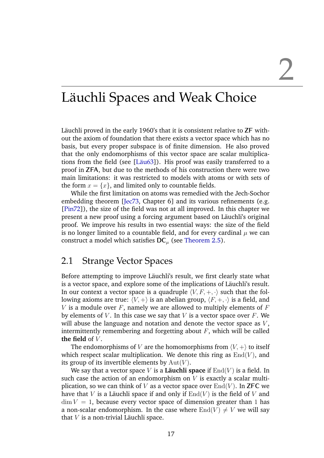### <span id="page-21-0"></span>Läuchli Spaces and Weak Choice

Läuchli proved in the early 1960's that it is consistent relative to **ZF** without the axiom of foundation that there exists a vector space which has no basis, but every proper subspace is of finite dimension. He also proved that the only endomorphisms of this vector space are scalar multiplications from the field (see [Läu63]). His proof was easily transferred to a proof in **ZFA**, but due to the methods of his construction there were two main limitations: it was restricted to models with atoms or with sets of the form  $x = \{x\}$ , and limited only to countable fields.

While the first limitation on atoms was remedied with the Jech-Sochor embedding theorem [[Jec73](#page-38-5), Chapter 6] and its various refinements (e.g. [[Pin72](#page-39-1)]), the size of the field was not at all improved. In this chapter we present a new proof using a forcing argument based on Läuchli's original proof. We improve his results in two essential ways: the size of the field is no longer limited to a countable field, and for every cardinal  $\mu$  we can construct a model which satisfies  $\mathsf{DC}_{\mu}$  (see [Theorem 2.5\)](#page-23-1).

### <span id="page-21-1"></span>2.1 Strange Vector Spaces

Before attempting to improve Läuchli's result, we first clearly state what is a vector space, and explore some of the implications of Läuchli's result. In our context a vector space is a quadruple  $\langle V, F, +, \cdot \rangle$  such that the following axioms are true:  $\langle V, +\rangle$  is an abelian group,  $\langle F, +, \cdot \rangle$  is a field, and V is a module over  $F$ , namely we are allowed to multiply elements of  $F$ by elements of V. In this case we say that V is a vector space over  $F$ . We will abuse the language and notation and denote the vector space as  $V$ , intermittently remembering and forgetting about  $F$ , which will be called **the field** of  $V$ .

The endomorphisms of V are the homomorphisms from  $\langle V, + \rangle$  to itself which respect scalar multiplication. We denote this ring as  $End(V)$ , and its group of its invertible elements by  $Aut(V)$ .

We say that a vector space V is a **Läuchli space** if  $\text{End}(V)$  is a field. In such case the action of an endomorphism on  $V$  is exactly a scalar multiplication, so we can think of V as a vector space over  $\text{End}(V)$ . In **ZFC** we have that V is a Läuchli space if and only if  $End(V)$  is the field of V and  $\dim V = 1$ , because every vector space of dimension greater than 1 has a non-scalar endomorphism. In the case where  $End(V) \neq V$  we will say that  $V$  is a non-trivial Läuchli space.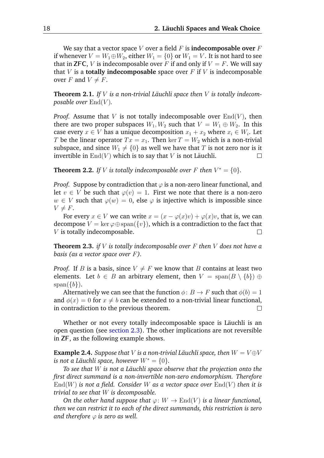We say that a vector space  $V$  over a field  $F$  is **indecomposable over**  $F$ if whenever  $V = W_1 \oplus W_2$ , either  $W_1 = \{0\}$  or  $W_1 = V$ . It is not hard to see that in **ZFC**, V is indecomposable over F if and only if  $V = F$ . We will say that  $V$  is a **totally indecomposable** space over  $F$  if  $V$  is indecomposable over F and  $V \neq F$ .

<span id="page-22-0"></span>**Theorem 2.1.** *If*  $V$  *is a non-trivial Läuchli space then*  $V$  *is totally indecomposable over*  $\text{End}(V)$ .

*Proof.* Assume that V is not totally indecomposable over  $\text{End}(V)$ , then there are two proper subspaces  $W_1, W_2$  such that  $V = W_1 \oplus W_2$ . In this case every  $x \in V$  has a unique decomposition  $x_1 + x_2$  where  $x_i \in W_i$ . Let T be the linear operator  $Tx = x_1$ . Then  $\ker T = W_2$  which is a non-trivial subspace, and since  $W_1 \neq \{0\}$  as well we have that T is not zero nor is it invertible in  $\text{End}(V)$  which is to say that V is not Läuchli. П

<span id="page-22-1"></span>**Theorem 2.2.** *If V* is totally indecomposable over *F* then  $V^* = \{0\}$ *.* 

*Proof.* Suppose by contradiction that  $\varphi$  is a non-zero linear functional, and let  $v \in V$  be such that  $\varphi(v) = 1$ . First we note that there is a non-zero  $w \in V$  such that  $\varphi(w) = 0$ , else  $\varphi$  is injective which is impossible since  $V \neq F$ .

For every  $x \in V$  we can write  $x = (x - \varphi(x)v) + \varphi(x)v$ , that is, we can decompose  $V = \ker \varphi \oplus \mathrm{span}(\{v\})$ , which is a contradiction to the fact that V is totally indecomposable.  $\Box$ 

**Theorem 2.3.** *if* V *is totally indecomposable over* F *then* V *does not have a basis (as a vector space over* F*).*

*Proof.* If *B* is a basis, since  $V \neq F$  we know that *B* contains at least two elements. Let  $b \in B$  an arbitrary element, then  $V = \text{span}(B \setminus \{b\}) \oplus$  $span({b}).$ 

Alternatively we can see that the function  $\phi: B \to F$  such that  $\phi(b) = 1$ and  $\phi(x) = 0$  for  $x \neq b$  can be extended to a non-trivial linear functional, in contradiction to the previous theorem. П

Whether or not every totally indecomposable space is Läuchli is an open question (see [section 2.3\)](#page-29-0). The other implications are not reversible in **ZF**, as the following example shows.

**Example 2.4.** *Suppose that V is a non-trivial Läuchli space, then*  $W = V \oplus V$ *is not a Läuchli space, however*  $W^* = \{0\}$ .

*To see that* W *is not a Lauchli space observe that the projection onto the ¨ first direct summand is a non-invertible non-zero endomorphism. Therefore*  $\text{End}(W)$  *is not a field. Consider* W *as a vector space over*  $\text{End}(V)$  *then it is trivial to see that* W *is decomposable.*

*On the other hand suppose that*  $\varphi: W \to \text{End}(V)$  *is a linear functional, then we can restrict it to each of the direct summands, this restriction is zero and therefore*  $\varphi$  *is zero as well.*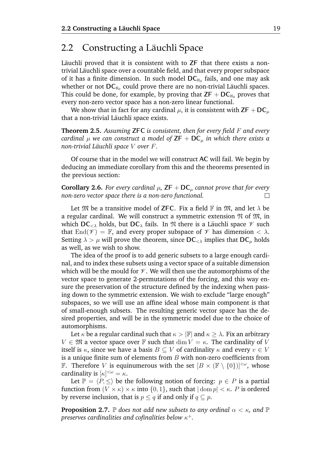### <span id="page-23-0"></span>2.2 Constructing a Läuchli Space

Läuchli proved that it is consistent with to  $ZF$  that there exists a nontrivial Läuchli space over a countable field, and that every proper subspace of it has a finite dimension. In such model  $DC_{\aleph_0}$  fails, and one may ask whether or not  $DC_{\aleph_0}$  could prove there are no non-trivial Läuchli spaces. This could be done, for example, by proving that  $ZF + DC_{\aleph_0}$  proves that every non-zero vector space has a non-zero linear functional.

We show that in fact for any cardinal  $\mu$ , it is consistent with  $\mathsf{ZF} + \mathsf{DC}_{\mu}$ that a non-trivial Läuchli space exists.

<span id="page-23-1"></span>**Theorem 2.5.** *Assuming* **ZFC** *is consistent, then for every field* F *and every cardinal*  $\mu$  *we can construct a model of*  $\mathsf{ZF} + \mathsf{DC}_{\mu}$  *in which there exists a non-trivial Läuchli space V over F*.

Of course that in the model we will construct **AC** will fail. We begin by deducing an immediate corollary from this and the theorems presented in the previous section:

**Corollary 2.6.** *For every cardinal*  $\mu$ , **ZF** + **DC**<sub> $\mu$ </sub> *cannot prove that for every non-zero vector space there is a non-zero functional.*  $\Box$ 

Let  $\mathfrak{M}$  be a transitive model of **ZFC**. Fix a field  $\mathbb{F}$  in  $\mathfrak{M}$ , and let  $\lambda$  be a regular cardinal. We will construct a symmetric extension  $\mathfrak N$  of  $\mathfrak M$ , in which  $DC_{\leq \lambda}$  holds, but  $DC_{\lambda}$  fails. In  $\mathfrak N$  there is a Läuchli space  $\mathcal V$  such that  $\text{End}(\mathscr{V}) = \mathbb{F}$ , and every proper subspace of  $\mathscr{V}$  has dimension  $< \lambda$ . Setting  $\lambda > \mu$  will prove the theorem, since  $DC_{< \lambda}$  implies that  $DC_{\mu}$  holds as well, as we wish to show.

The idea of the proof is to add generic subsets to a large enough cardinal, and to index these subsets using a vector space of a suitable dimension which will be the mould for  $\mathcal V$ . We will then use the automorphisms of the vector space to generate 2-permutations of the forcing, and this way ensure the preservation of the structure defined by the indexing when passing down to the symmetric extension. We wish to exclude "large enough" subspaces, so we will use an affine ideal whose main component is that of small-enough subsets. The resulting generic vector space has the desired properties, and will be in the symmetric model due to the choice of automorphisms.

Let  $\kappa$  be a regular cardinal such that  $\kappa > |\mathbb{F}|$  and  $\kappa \geq \lambda$ . Fix an arbitrary  $V \in \mathfrak{M}$  a vector space over  $\mathbb F$  such that  $\dim V = \kappa$ . The cardinality of V itself is  $\kappa$ , since we have a basis  $B \subseteq V$  of cardinality  $\kappa$  and every  $v \in V$ is a unique finite sum of elements from  $B$  with non-zero coefficients from **F.** Therefore V is equinumerous with the set  $[B \times (\mathbb{F} \setminus \{0\})]^{<\omega}$ , whose cardinality is  $[\kappa]^{<\omega} = \kappa$ .

Let  $\mathbb{P} = \langle P, \leq \rangle$  be the following notion of forcing:  $p \in P$  is a partial function from  $(V \times \kappa) \times \kappa$  into  $\{0,1\}$ , such that  $|\text{dom } p| < \kappa$ . P is ordered by reverse inclusion, that is  $p \leq q$  if and only if  $q \subseteq p$ .

<span id="page-23-2"></span>**Proposition 2.7.**  $\mathbb P$  *does not add new subsets to any ordinal*  $\alpha < \kappa$ *, and*  $\mathbb P$ preserves cardinalities and cofinalities below  $\kappa^+.$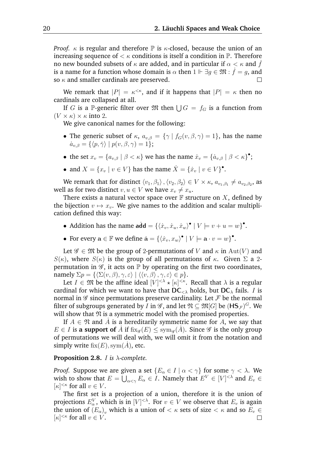*Proof.*  $\kappa$  is regular and therefore  $\mathbb P$  is  $\kappa$ -closed, because the union of an increasing sequence of  $\lt \kappa$  conditions is itself a condition in  $\mathbb{P}$ . Therefore no new bounded subsets of  $\kappa$  are added, and in particular if  $\alpha < \kappa$  and  $\hat{f}$ is a name for a function whose domain is  $\alpha$  then  $1 \Vdash \exists g \in \mathfrak{M} : \dot{f} = g$ , and so  $\kappa$  and smaller cardinals are preserved.

We remark that  $|P| = \kappa^{<\kappa}$ , and if it happens that  $|P| = \kappa$  then no cardinals are collapsed at all.

If G is a P-generic filter over  $\mathfrak{M}$  then  $\bigcup G = f_G$  is a function from  $(V \times \kappa) \times \kappa$  into 2.

We give canonical names for the following:

- The generic subset of  $\kappa$ ,  $a_{v,\beta} = {\gamma | f_G(v,\beta,\gamma)} = 1$ , has the name  $\dot{a}_{v,\beta} = \{ \langle p, \check{\gamma} \rangle \mid p(v, \beta, \gamma) = 1 \};$
- the set  $x_v = \{a_{v,\beta} \mid \beta < \kappa\}$  we has the name  $\dot{x}_v = \{\dot{a}_{v,\beta} \mid \beta < \kappa\}^{\bullet}$ ;
- and  $X = \{x_v \mid v \in V\}$  has the name  $\dot{X} = \{\dot{x}_v \mid v \in V\}$ .

We remark that for distinct  $\langle v_1, \beta_1\rangle$  ,  $\langle v_2, \beta_2\rangle\in V\times\kappa,$   $a_{v_1,\beta_1}\neq a_{v_2,\beta_2},$  as well as for two distinct  $v, u \in V$  we have  $x_v \neq x_u$ .

There exists a natural vector space over  $\mathbb F$  structure on X, defined by the bijection  $v \mapsto x_v$ . We give names to the addition and scalar multiplication defined this way:

- Addition has the name  $\mathbf{add} = \{ \langle \dot{x}_v, \dot{x}_u, \dot{x}_w \rangle^{\bullet} \mid V \models v + u = w \}^{\bullet}$ .
- For every  $\mathbf{a} \in \mathbb{F}$  we define  $\dot{\mathbf{a}} = \{ \langle \dot{x}_v, x_w \rangle^{\bullet} \mid V \models \mathbf{a} \cdot v = w \}^{\bullet}$ .

Let  $\mathscr{G} \in \mathfrak{M}$  be the group of 2-permutations of V and  $\kappa$  in Aut(V) and  $S(\kappa)$ , where  $S(\kappa)$  is the group of all permutations of  $\kappa$ . Given  $\Sigma$  a 2permutation in  $\mathscr{G}$ , it acts on  $\mathbb{P}$  by operating on the first two coordinates, namely  $\Sigma p = {\{\langle \Sigma(v, \beta), \gamma, \varepsilon \rangle \mid \langle \langle v, \beta \rangle, \gamma, \varepsilon \rangle \in p \}.}$ 

Let  $I \in \mathfrak{M}$  be the affine ideal  $[V]^{<\lambda} \star [\kappa]^{<\kappa}$ . Recall that  $\lambda$  is a regular cardinal for which we want to have that  $DC_{\leq \lambda}$  holds, but  $DC_{\lambda}$  fails. *I* is normal in  $\mathscr G$  since permutations preserve cardinality. Let  $\mathcal F$  be the normal filter of subgroups generated by *I* in  $\mathscr{G},$  and let  $\mathfrak{N}\subseteq\mathfrak{M}[G]$  be  $(\mathsf{HS}_{\mathcal{F}})^G.$  We will show that  $\mathfrak N$  is a symmetric model with the promised properties.

If  $A \in \mathfrak{N}$  and  $\dot{A}$  is a hereditarily symmetric name for  $A$ , we say that  $E \in I$  is a support of  $\hat{A}$  if  $fix_{\mathscr{G}}(E) \leq sym_{\mathscr{G}}(\hat{A})$ . Since  $\mathscr{G}$  is the only group of permutations we will deal with, we will omit it from the notation and simply write  $fix(E), sym(A)$ , etc.

#### <span id="page-24-0"></span>**Proposition 2.8.** I *is* λ*-complete.*

*Proof.* Suppose we are given a set  ${E_{\alpha} \in I \mid \alpha < \gamma}$  for some  $\gamma < \lambda$ . We wish to show that  $E=\bigcup_{\alpha<\gamma}E_\alpha\in I.$  Namely that  $E^V\in [V]^{<\lambda}$  and  $E_v\in \mathbb{R}$  $[\kappa]^{<\kappa}$  for all  $v \in V$ .

The first set is a projection of a union, therefore it is the union of projections  $E^{V}_{\alpha}$ , which is in  $[V]^{<\lambda}$ . For  $v \in V$  we observe that  $E_{v}$  is again the union of  $(E_{\alpha})_v$  which is a union of  $<\kappa$  sets of size  $<\kappa$  and so  $E_v\in$  $[\kappa]^{<\kappa}$  for all  $v \in V$ .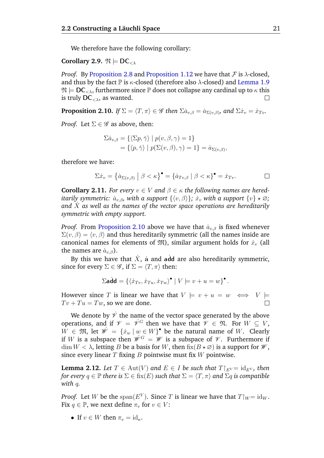We therefore have the following corollary:

**Corollary 2.9.**  $\mathfrak{N} \models \mathsf{DC}_{\leq \lambda}$ 

*Proof.* By [Proposition 2.8](#page-24-0) and [Proposition 1.12](#page-20-1) we have that  $\mathcal F$  is  $\lambda$ -closed, and thus by the fact  $\mathbb P$  is  $\kappa$ -closed (therefore also  $\lambda$ -closed) and [Lemma 1.9](#page-16-0)  $\mathfrak{N} \models \mathsf{DC}_{\leq \lambda}$ , furthermore since  $\mathbb P$  does not collapse any cardinal up to  $\kappa$  this is truly  $DC_{\leq \lambda}$ , as wanted.  $\Box$ 

<span id="page-25-0"></span>**Proposition 2.10.** *If*  $\Sigma = \langle T, \pi \rangle \in \mathscr{G}$  *then*  $\Sigma \dot{a}_{v,\beta} = \dot{a}_{\Sigma(v,\beta)}$ *, and*  $\Sigma \dot{x}_v = \dot{x}_{Tv}$ *.* 

*Proof.* Let  $\Sigma \in \mathscr{G}$  as above, then:

$$
\Sigma \dot{a}_{v,\beta} = \{ \langle \Sigma p, \check{\gamma} \rangle \mid p(v,\beta,\gamma) = 1 \}
$$
  
=  $\{ \langle p, \check{\gamma} \rangle \mid p(\Sigma(v,\beta),\gamma) = 1 \} = \dot{a}_{\Sigma(v,\beta)},$ 

therefore we have:

$$
\Sigma \dot{x}_v = \left\{ \dot{a}_{\Sigma(v,\beta)} \mid \beta < \kappa \right\}^\bullet = \left\{ \dot{a}_{Tv,\beta} \mid \beta < \kappa \right\}^\bullet = \dot{x}_{Tv}.
$$

**Corollary 2.11.** *For every*  $v \in V$  *and*  $\beta \in \kappa$  *the following names are hereditarily symmetric:*  $\dot{a}_{v, \beta}$ , with a support  $\{\langle v, \beta \rangle\}$ ;  $\dot{x}_v$  with a support  $\{v\} \star \varnothing$ ; *and* X˙ *as well as the names of the vector space operations are hereditarily symmetric with empty support.*

*Proof.* From [Proposition 2.10](#page-25-0) above we have that  $a_{v,\beta}$  is fixed whenever  $\Sigma(v, \beta) = \langle v, \beta \rangle$  and thus hereditarily symmetric (all the names inside are canonical names for elements of  $\mathfrak{M}$ ), similar argument holds for  $\dot{x}_v$  (all the names are  $\dot{a}_{v,\beta}$ ).

By this we have that  $\dot{X}$ , a and add are also hereditarily symmetric, since for every  $\Sigma \in \mathscr{G}$ , if  $\Sigma = \langle T, \pi \rangle$  then:

$$
\Sigma \mathbf{add} = \{ \langle \dot{x}_{Tv}, \dot{x}_{Tu}, \dot{x}_{Tw} \rangle^{\bullet} \mid V \models v + u = w \}^{\bullet}.
$$

However since T is linear we have that  $V \models v + u = w \iff V \models$  $Tv + Tu = Tw$ , so we are done.

We denote by  $\dot{\mathscr{V}}$  the name of the vector space generated by the above operations, and if  $\mathcal{V} = \dot{\mathcal{V}}^G$  then we have that  $\mathcal{V} \in \mathfrak{N}$ . For  $W \subseteq V$ ,  $W \in \mathfrak{M}$ , let  $\dot{\mathscr{W}} = {\{\dot{x}_w \mid w \in W\}}^{\bullet}$  be the natural name of W. Clearly if W is a subspace then  $\mathscr{W}^G = \mathscr{W}$  is a subspace of  $\mathscr{V}$ . Furthermore if  $\dim W < \lambda$ , letting B be a basis for W, then  $\mathrm{fix}(B \star \emptyset)$  is a support for  $\mathcal{W}$ , since every linear  $T$  fixing  $B$  pointwise must fix  $W$  pointwise.

<span id="page-25-1"></span>**Lemma 2.12.** *Let*  $T \in Aut(V)$  *and*  $E \in I$  *be such that*  $T|_{E} = id_{E}$ , *then for every*  $q \in \mathbb{P}$  *there is*  $\Sigma \in$  fix $(E)$  *such that*  $\Sigma = \langle T, \pi \rangle$  *and*  $\Sigma q$  *is compatible with* q*.*

*Proof.* Let *W* be the  $\text{span}(E^V)$ . Since *T* is linear we have that  $T|_W = \text{id}_W$ . Fix  $q \in \mathbb{P}$ , we next define  $\pi_v$  for  $v \in V$ :

• If  $v \in W$  then  $\pi_v = id_{\kappa}$ .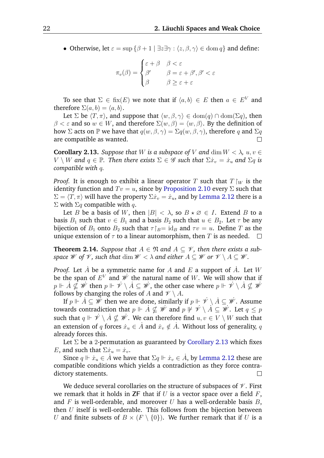• Otherwise, let  $\varepsilon = \sup \{\beta + 1 \mid \exists z \exists \gamma : \langle z, \beta, \gamma \rangle \in \text{dom } q\}$  and define:

$$
\pi_v(\beta) = \begin{cases} \varepsilon + \beta & \beta < \varepsilon \\ \beta' & \beta = \varepsilon + \beta', \beta' < \varepsilon \\ \beta & \beta \ge \varepsilon + \varepsilon \end{cases}
$$

To see that  $\Sigma \in \text{fix}(E)$  we note that if  $\langle a, b \rangle \in E$  then  $a \in E^V$  and therefore  $\Sigma(a, b) = \langle a, b \rangle$ .

Let  $\Sigma$  be  $\langle T, \pi \rangle$ , and suppose that  $\langle w, \beta, \gamma \rangle \in \text{dom}(q) \cap \text{dom}(\Sigma q)$ , then  $\beta < \varepsilon$  and so  $w \in W$ , and therefore  $\Sigma(w, \beta) = \langle w, \beta \rangle$ . By the definition of how  $\Sigma$  acts on  $\mathbb P$  we have that  $q(w, \beta, \gamma) = \Sigma q(w, \beta, \gamma)$ , therefore q and  $\Sigma q$ are compatible as wanted.  $\Box$ 

<span id="page-26-0"></span>**Corollary 2.13.** *Suppose that* W *is a subspace of* V *and* dim  $W < \lambda$ ,  $u, v \in$  $V \setminus W$  and  $q \in \mathbb{P}$ . Then there exists  $\Sigma \in \mathscr{G}$  such that  $\Sigma \dot{x}_v = \dot{x}_u$  and  $\Sigma q$  is *compatible with* q*.*

*Proof.* It is enough to exhibit a linear operator T such that  $T|_W$  is the identity function and  $Tv = u$ , since by [Proposition 2.10](#page-25-0) every  $\Sigma$  such that  $\Sigma = \langle T, \pi \rangle$  will have the property  $\Sigma \dot{x}_v = \dot{x}_u$ , and by [Lemma 2.12](#page-25-1) there is a  $\Sigma$  with  $\Sigma q$  compatible with q.

Let B be a basis of W, then  $|B| < \lambda$ , so  $B \star \emptyset \in I$ . Extend B to a basis  $B_1$  such that  $v \in B_1$  and a basis  $B_2$  such that  $u \in B_2$ . Let  $\tau$  be any bijection of  $B_1$  onto  $B_2$  such that  $\tau|_B = id_B$  and  $\tau v = u$ . Define T as the unique extension of  $\tau$  to a linear automorphism, then T is as needed.  $\Box$ 

<span id="page-26-1"></span>**Theorem 2.14.** *Suppose that*  $A \in \mathfrak{N}$  and  $A \subseteq \mathcal{V}$ , then there exists a sub*space W of V*, *such that* dim  $W < \lambda$  *and either*  $A \subseteq W$  *or*  $V \setminus A \subseteq W$ *.* 

*Proof.* Let  $\dot{A}$  be a symmetric name for  $A$  and  $E$  a support of  $\dot{A}$ . Let  $W$ be the span of  $E^V$  and  $\dot{\mathscr{W}}$  the natural name of  $W.$  We will show that if  $p\Vdash \dot{A}\nsubseteq\dot{\mathscr{W}}$  then  $p\Vdash\dot{\mathscr{V}}\setminus\dot{A}\subseteq\dot{\mathscr{W}}$ , the other case where  $p\Vdash\dot{\mathscr{V}}\setminus\dot{A}\nsubseteq\dot{\mathscr{W}}$ follows by changing the roles of A and  $\mathcal{V} \setminus A$ .

If  $p \Vdash \dot{A} \subseteq \dot{\mathscr{W}}$  then we are done, similarly if  $p \Vdash \dot{\mathscr{V}} \setminus \dot{A} \subseteq \dot{\mathscr{W}}$ . Assume towards contradiction that  $p\Vdash \dot{A}\nsubseteq\dot{W}$  and  $p \not \Vdash \dot{Y}\setminus\dot{A}\subseteq\dot{W}.$  Let  $q\leq p$ such that  $q\Vdash\dot{\mathscr{V}}\setminus\dot{A}\nsubseteq\dot{\mathscr{W}}$ . We can therefore find  $u,v\in V\setminus W$  such that an extension of  $q$  forces  $\dot{x}_u \in \dot{A}$  and  $\dot{x}_v \notin \dot{A}$ . Without loss of generality,  $q$ already forces this.

Let  $\Sigma$  be a 2-permutation as guaranteed by [Corollary 2.13](#page-26-0) which fixes E, and such that  $\Sigma \dot{x}_u = \dot{x}_v$ .

Since  $q \Vdash \dot{x}_u \in \dot{A}$  we have that  $\Sigma q \Vdash \dot{x}_v \in \dot{A}$ , by [Lemma 2.12](#page-25-1) these are compatible conditions which yields a contradiction as they force contradictory statements. П

We deduce several corollaries on the structure of subspaces of  $\mathcal V$ . First we remark that it holds in **ZF** that if U is a vector space over a field  $F$ , and  $F$  is well-orderable, and moreover  $U$  has a well-orderable basis  $B$ , then  $U$  itself is well-orderable. This follows from the bijection between U and finite subsets of  $B \times (F \setminus \{0\})$ . We further remark that if U is a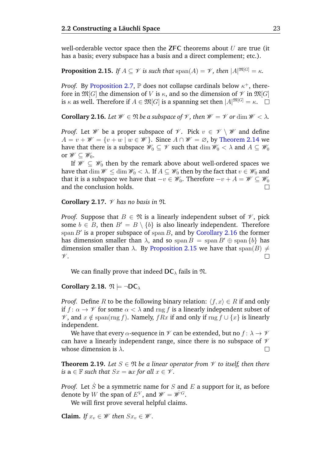well-orderable vector space then the **ZFC** theorems about  $U$  are true (it has a basis; every subspace has a basis and a direct complement; etc.).

<span id="page-27-1"></span>**Proposition 2.15.** *If*  $A \subseteq \mathcal{V}$  *is such that*  $\text{span}(A) = \mathcal{V}$ *, then*  $|A|^{\mathfrak{M}[G]} = \kappa$ *.* 

*Proof.* By [Proposition 2.7,](#page-23-2)  $\mathbb P$  does not collapse cardinals below  $\kappa^+$ , therefore in  $\mathfrak{M}[G]$  the dimension of V is  $\kappa$ , and so the dimension of  $\mathcal V$  in  $\mathfrak{M}[G]$ is  $\kappa$  as well. Therefore if  $A\in\mathfrak{M}[G]$  is a spanning set then  $|A|^{\mathfrak{M}[G]}=\kappa.$ 

<span id="page-27-0"></span>**Corollary 2.16.** *Let*  $W \in \mathfrak{N}$  *be a subspace of*  $\mathcal{V}$ *, then*  $\mathcal{W} = \mathcal{V}$  *or* dim  $\mathcal{W} < \lambda$ *.* 

*Proof.* Let *W* be a proper subspace of *V*. Pick  $v \in V \setminus W$  and define  $A = v + W = \{v + w \mid w \in W\}$ . Since  $A \cap W = \emptyset$ , by [Theorem 2.14](#page-26-1) we have that there is a subspace  $\mathscr{W}_0 \subseteq \mathscr{V}$  such that  $\dim \mathscr{W}_0 < \lambda$  and  $A \subseteq \mathscr{W}_0$ or  $\mathscr{W} \subseteq \mathscr{W}_0$ .

If  $\mathscr{W} \subset \mathscr{W}_0$  then by the remark above about well-ordered spaces we have that dim  $\mathscr{W} \leq \dim \mathscr{W}_0 < \lambda$ . If  $A \subseteq \mathscr{W}_0$  then by the fact that  $v \in \mathscr{W}_0$  and that it is a subspace we have that  $-v \in \mathscr{W}_0$ . Therefore  $-v + A = \mathscr{W} \subseteq \mathscr{W}_0$ and the conclusion holds.  $\Box$ 

<span id="page-27-2"></span>**Corollary 2.17.**  $\mathcal V$  has no basis in  $\mathfrak N$ .

*Proof.* Suppose that  $B \in \mathfrak{N}$  is a linearly independent subset of  $\mathcal{V}$ , pick some  $b \in B$ , then  $B' = B \setminus \{b\}$  is also linearly independent. Therefore span  $B'$  is a proper subspace of span  $B$ , and by [Corollary 2.16](#page-27-0) the former has dimension smaller than  $\lambda$ , and so span  $B = \text{span } B' \oplus \text{span } \{b\}$  has dimension smaller than  $\lambda$ . By [Proposition 2.15](#page-27-1) we have that span(B)  $\neq$  $\Box$  $\mathscr V.$ 

We can finally prove that indeed  $DC_{\lambda}$  fails in  $\mathfrak{N}$ .

**Corollary 2.18.**  $\mathfrak{N} \models \neg \mathsf{DC}_{\lambda}$ 

*Proof.* Define R to be the following binary relation:  $\langle f, x \rangle \in R$  if and only if  $f: \alpha \to \mathcal{V}$  for some  $\alpha < \lambda$  and rng f is a linearly independent subset of  $\mathscr V$ , and  $x \notin \text{span}(\text{rng } f)$ . Namely,  $fRx$  if and only if  $\text{rng } f \cup \{x\}$  is linearly independent.

We have that every  $\alpha$ -sequence in  $\mathcal V$  can be extended, but no  $f: \lambda \to \mathcal V$ can have a linearly independent range, since there is no subspace of  $\mathcal V$ whose dimension is  $\lambda$ .  $\Box$ 

**Theorem 2.19.** *Let*  $S \in \mathfrak{N}$  *be a linear operator from*  $\mathcal V$  *to itself, then there is*  $a \in \mathbb{F}$  *such that*  $Sx = ax$  *for all*  $x \in \mathcal{V}$ *.* 

*Proof.* Let  $\dot{S}$  be a symmetric name for  $S$  and  $E$  a support for it, as before denote by W the span of  $E^V$ , and  $\mathscr{W} = \mathscr{W}^G$ .

We will first prove several helpful claims.

**Claim.** *If*  $x_v \in W$  *then*  $Sx_v \in W$ *.*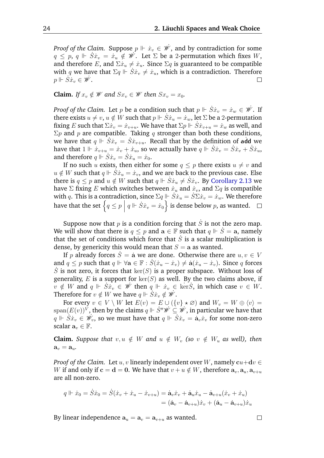*Proof of the Claim.* Suppose  $p \Vdash \dot{x}_v \in \dot{\mathscr{W}}$  , and by contradiction for some  $q \leq p, q \Vdash \dot{S}\dot{x}_v = \dot{x}_u \notin \dot{\mathscr{W}}$ . Let  $\Sigma$  be a 2-permutation which fixes  $W$ , and therefore E, and  $\Sigma \dot{x}_u \neq \dot{x}_u$ . Since  $\Sigma q$  is guaranteed to be compatible with q we have that  $\Sigma q \Vdash S\dot{x}_v \neq \dot{x}_u$ , which is a contradiction. Therefore  $p \Vdash \dot{S}\dot{x}_v \in \dot{\mathscr{W}}$ .  $\Box$ 

**Claim.** *If*  $x_v \notin W$  *and*  $Sx_v \in W$  *then*  $Sx_v = x_0$ *.* 

*Proof of the Claim.* Let  $p$  be a condition such that  $p \Vdash \dot{S}\dot{x}_v = \dot{x}_w \in \dot{\mathscr{W}}$ . If there exists  $u \neq v$ ,  $u \notin W$  such that  $p \Vdash \dot{S}\dot{x}_u = \dot{x}_w$ , let  $\Sigma$  be a 2-permutation fixing E such that  $\sum x_v = \dot{x}_{v+u}$ . We have that  $\Sigma p \Vdash \dot{S} \dot{x}_{v+u} = \dot{x}_w$  as well, and  $\Sigma p$  and p are compatible. Taking q stronger than both these conditions, we have that  $q \Vdash \dot{S}\dot{x}_v = \dot{S}\dot{x}_{v+u}$ . Recall that by the definition of add we have that  $1 \Vdash \dot{x}_{v+u} = \dot{x}_v + \dot{x}_u$ , so we actually have  $q \Vdash \dot{S}\dot{x}_v = \dot{S}\dot{x}_v + \dot{S}\dot{x}_u$ , and therefore  $q \Vdash S\dot{x}_v = S\dot{x}_u = \dot{x}_0$ .

If no such u exists, then either for some  $q \leq p$  there exists  $u \neq v$  and  $u \notin W$  such that  $q \Vdash \dot{S}\dot{x}_u = \dot{x}_v$ , and we are back to the previous case. Else there is  $q \leq p$  and  $u \notin W$  such that  $q \Vdash S\dot{x}_u \neq S\dot{x}_v$ . By [Corollary 2.13](#page-26-0) we have  $\Sigma$  fixing E which switches between  $\dot{x}_u$  and  $\dot{x}_v$ , and  $\Sigma q$  is compatible with q. This is a contradiction, since  $\Sigma q \Vdash \overline{S} \dot{x}_u = \overline{S} \Sigma \dot{x}_v = \dot{x}_w$ . We therefore have that the set  $\left\{ q\leq p\bigm| q\Vdash \dot{S}\dot{x}_v=\dot{x}_0\right\}$  is dense below  $p$ , as wanted.

Suppose now that  $p$  is a condition forcing that  $\dot{S}$  is not the zero map. We will show that there is  $q \leq p$  and  $a \in \mathbb{F}$  such that  $q \Vdash \dot{S} = a$ , namely that the set of conditions which force that  $\dot{S}$  is a scalar multiplication is dense, by genericity this would mean that  $S = a$  as wanted.

If p already forces  $S = \dot{a}$  we are done. Otherwise there are  $u, v \in V$ and  $q \leq p$  such that  $q \Vdash \forall a \in \mathbb{F} : S(\dot{x}_u - \dot{x}_v) \neq \dot{a}(\dot{x}_u - \dot{x}_v)$ . Since q forces  $\dot{S}$  is not zero, it forces that  $\ker(S)$  is a proper subspace. Without loss of generality, E is a support for  $\ker(S)$  as well. By the two claims above, if  $v \notin W$  and  $q \Vdash \dot{S}x_v \in \dot{W}$  then  $q \Vdash \dot{x}_v \in \text{ker}\dot{S}$ , in which case  $v \in W$ . Therefore for  $v \notin W$  we have  $q \Vdash \dot{S} \dot{x}_v \notin \dot{W}$ .

For every  $v \in V \setminus W$  let  $E(v) = E \cup (\{v\} \star \emptyset)$  and  $W_v = W \oplus \langle v \rangle =$  $\mathrm{span}(E(v))^V$ , then by the claims  $q\Vdash \dot{S}''\dot{\mathscr{W}}\subseteq \dot{\mathscr{W}}$ , in particular we have that  $q \Vdash \dot{S}\dot{x}_v \in \dot{\mathscr{W}}_v$ , so we must have that  $q \Vdash \dot{S}\dot{x}_v = \dot{a}_v \dot{x}_v$  for some non-zero scalar  $\mathbf{a}_v \in \mathbb{F}$ .

**Claim.** *Suppose that*  $v, u \notin W$  *and*  $u \notin W_v$  *(so*  $v \notin W_u$  *as well), then*  $\mathbf{a}_v = \mathbf{a}_u$ .

*Proof of the Claim.* Let u, v linearly independent over W, namely  $cu+dv \in$ W if and only if  $c = d = 0$ . We have that  $v + u \notin W$ , therefore  $a_v, a_u, a_{v+u}$ are all non-zero.

$$
q \Vdash \dot{x}_0 = \dot{S}\dot{x}_0 = \dot{S}(\dot{x}_v + \dot{x}_u - \dot{x}_{v+u}) = \dot{\mathbf{a}}_v \dot{x}_v + \dot{\mathbf{a}}_u \dot{x}_u - \dot{\mathbf{a}}_{v+u}(\dot{x}_v + \dot{x}_u)
$$

$$
= (\dot{\mathbf{a}}_v - \dot{\mathbf{a}}_{v+u})\dot{x}_v + (\dot{\mathbf{a}}_u - \dot{\mathbf{a}}_{v+u})\dot{x}_u
$$

By linear independence  $a_u = a_v = a_{v+u}$  as wanted.

 $\Box$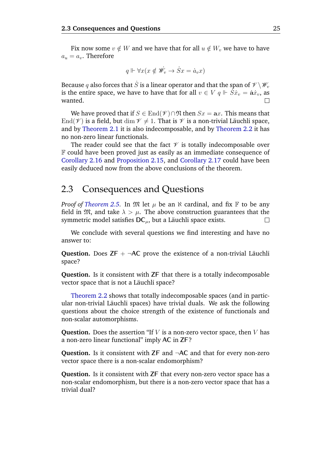Fix now some  $v \notin W$  and we have that for all  $u \notin W_v$  we have to have  $a_u = a_v$ . Therefore

$$
q \Vdash \forall x (x \notin \mathscr{W}_v \to \dot{S}x = \dot{a}_v x)
$$

Because  $q$  also forces that  $\dot{S}$  is a linear operator and that the span of  $\mathscr{V}\backslash\mathscr{W}_v$ is the entire space, we have to have that for all  $v \in V$   $q \Vdash \overline{S}\dot{x}_v = \dot{a}\dot{x}_v$ , as wanted.  $\Box$ 

We have proved that if  $S \in \text{End}(\mathcal{V}) \cap \mathfrak{N}$  then  $Sx = ax$ . This means that End( $\mathcal V$ ) is a field, but dim  $\mathcal V \neq 1$ . That is  $\mathcal V$  is a non-trivial Läuchli space, and by [Theorem 2.1](#page-22-0) it is also indecomposable, and by [Theorem 2.2](#page-22-1) it has no non-zero linear functionals.

The reader could see that the fact  $\mathcal V$  is totally indecomposable over F could have been proved just as easily as an immediate consequence of [Corollary 2.16](#page-27-0) and [Proposition 2.15,](#page-27-1) and [Corollary 2.17](#page-27-2) could have been easily deduced now from the above conclusions of the theorem.

### <span id="page-29-0"></span>2.3 Consequences and Questions

*Proof of [Theorem 2.5.](#page-23-1)* In  $\mathfrak{M}$  let  $\mu$  be an  $\aleph$  cardinal, and fix  $\mathbb F$  to be any field in  $\mathfrak{M}$ , and take  $\lambda > \mu$ . The above construction guarantees that the symmetric model satisfies  $DC_{\mu}$ , but a Läuchli space exists.  $\Box$ 

We conclude with several questions we find interesting and have no answer to:

**Question.** Does  $ZF + \neg AC$  prove the existence of a non-trivial Läuchli space?

**Question.** Is it consistent with **ZF** that there is a totally indecomposable vector space that is not a Läuchli space?

[Theorem 2.2](#page-22-1) shows that totally indecomposable spaces (and in particular non-trivial Läuchli spaces) have trivial duals. We ask the following questions about the choice strength of the existence of functionals and non-scalar automorphisms.

**Question.** Does the assertion "If  $V$  is a non-zero vector space, then  $V$  has a non-zero linear functional" imply **AC** in **ZF**?

**Question.** Is it consistent with **ZF** and ¬**AC** and that for every non-zero vector space there is a non-scalar endomorphism?

**Question.** Is it consistent with **ZF** that every non-zero vector space has a non-scalar endomorphism, but there is a non-zero vector space that has a trivial dual?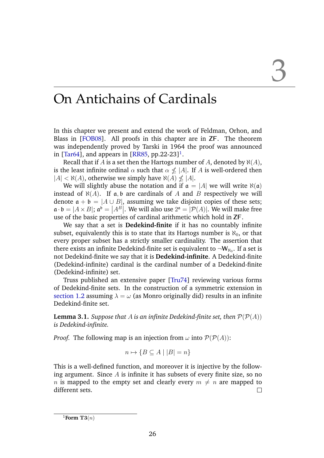### <span id="page-30-0"></span>On Antichains of Cardinals

In this chapter we present and extend the work of Feldman, Orhon, and Blass in [[FOB08](#page-38-6)]. All proofs in this chapter are in **ZF**. The theorem was independently proved by Tarski in 1964 the proof was announced in [[Tar64](#page-39-2)], and appears in [[RR85](#page-39-3), pp.22-23]<sup>[1](#page-30-1)</sup>.

Recall that if A is a set then the Hartogs number of A, denoted by  $\aleph(A)$ , is the least infinite ordinal  $\alpha$  such that  $\alpha \nleq |A|$ . If A is well-ordered then  $|A| < \aleph(A)$ , otherwise we simply have  $\aleph(A) \nleq |A|$ .

We will slightly abuse the notation and if  $\mathfrak{a} = |A|$  we will write  $\aleph(\mathfrak{a})$ instead of  $\aleph(A)$ . If a, b are cardinals of A and B respectively we will denote  $\mathfrak{a} + \mathfrak{b} = |A \cup B|$ , assuming we take disjoint copies of these sets;  $\mathfrak{a} \cdot \mathfrak{b} = |A \times B|$ ;  $\mathfrak{a}^{\mathfrak{b}} = |A^B|$ . We will also use  $2^{\mathfrak{a}} = |\mathcal{P}(A)|$ . We will make free use of the basic properties of cardinal arithmetic which hold in **ZF**.

We say that a set is **Dedekind-finite** if it has no countably infinite subset, equivalently this is to state that its Hartogs number is  $\aleph_0$ , or that every proper subset has a strictly smaller cardinality. The assertion that there exists an infinite Dedekind-finite set is equivalent to  $\neg \mathsf{W}_{\aleph_0}.$  If a set is not Dedekind-finite we say that it is **Dedekind-infinite**. A Dedekind-finite (Dedekind-infinite) cardinal is the cardinal number of a Dedekind-finite (Dedekind-infinite) set.

Truss published an extensive paper [[Tru74](#page-39-4)] reviewing various forms of Dedekind-finite sets. In the construction of a symmetric extension in [section 1.2](#page-13-0) assuming  $\lambda = \omega$  (as Monro originally did) results in an infinite Dedekind-finite set.

**Lemma 3.1.** *Suppose that* A *is an infinite Dedekind-finite set, then*  $\mathcal{P}(\mathcal{P}(A))$ *is Dedekind-infinite.*

*Proof.* The following map is an injection from  $\omega$  into  $\mathcal{P}(\mathcal{P}(A))$ :

$$
n \mapsto \{ B \subseteq A \mid |B| = n \}
$$

This is a well-defined function, and moreover it is injective by the following argument. Since  $A$  is infinite it has subsets of every finite size, so no *n* is mapped to the empty set and clearly every  $m \neq n$  are mapped to different sets.  $\Box$ 

<span id="page-30-1"></span><sup>&</sup>lt;sup>1</sup>Form T3 $(n)$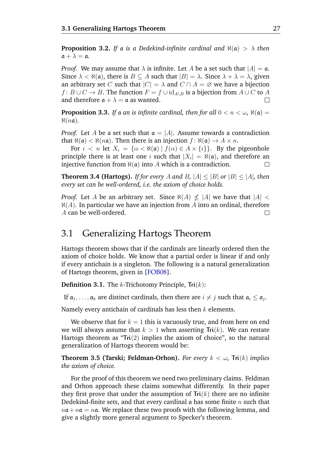**Proposition 3.2.** *If* a *is* a Dedekind-infinite cardinal and  $\aleph(a) > \lambda$  then  $a + \lambda = a$ .

*Proof.* We may assume that  $\lambda$  is infinite. Let A be a set such that  $|A| = \mathfrak{a}$ . Since  $\lambda < \aleph(\mathfrak{a})$ , there is  $B \subseteq A$  such that  $|B| = \lambda$ . Since  $\lambda + \lambda = \lambda$ , given an arbitrary set C such that  $|C| = \lambda$  and  $C \cap A = \emptyset$  we have a bijection  $f: B \cup C \to B$ . The function  $F = f \cup id_{A \setminus B}$  is a bijection from  $A \cup C$  to A and therefore  $\mathfrak{a} + \lambda = \mathfrak{a}$  as wanted.  $\Box$ 

<span id="page-31-2"></span>**Proposition 3.3.** *If* a *an is infinite cardinal, then for all*  $0 < n < \omega$ ,  $\aleph(\mathfrak{a}) =$  $\aleph(n\mathfrak{a})$ .

*Proof.* Let A be a set such that  $\mathfrak{a} = |A|$ . Assume towards a contradiction that  $\aleph(\mathfrak{a}) < \aleph(n\mathfrak{a})$ . Then there is an injection  $f : \aleph(\mathfrak{a}) \to A \times n$ .

For  $i < n$  let  $X_i = {\alpha < \aleph(\mathfrak{a}) | f(\alpha) \in A \times \{i\}}$ . By the pigeonhole principle there is at least one i such that  $|X_i| = \aleph(\mathfrak{a})$ , and therefore an injective function from  $\aleph(a)$  into A which is a contradiction.  $\Box$ 

**Theorem 3.4 (Hartogs).** *If for every* A and B,  $|A| \leq |B|$  or  $|B| \leq |A|$ *, then every set can be well-ordered, i.e. the axiom of choice holds.*

*Proof.* Let A be an arbitrary set. Since  $\aleph(A) \nleq |A|$  we have that  $|A| <$  $\aleph(A)$ . In particular we have an injection from A into an ordinal, therefore A can be well-ordered.  $\Box$ 

### <span id="page-31-0"></span>3.1 Generalizing Hartogs Theorem

Hartogs theorem shows that if the cardinals are linearly ordered then the axiom of choice holds. We know that a partial order is linear if and only if every antichain is a singleton. The following is a natural generalization of Hartogs theorem, given in [[FOB08](#page-38-6)].

**Definition 3.1.** The k-Trichotomy Principle, **Tri**(k):

If  $\mathfrak{a}_1,\ldots,\mathfrak{a}_k$  are distinct cardinals, then there are  $i\neq j$  such that  $\mathfrak{a}_i\leq \mathfrak{a}_j.$ 

Namely every antichain of cardinals has less then  $k$  elements.

We observe that for  $k = 1$  this is vacuously true, and from here on end we will always assume that  $k > 1$  when asserting  $\text{Tri}(k)$ . We can restate Hartogs theorem as "**Tri**(2) implies the axiom of choice", so the natural generalization of Hartogs theorem would be:

<span id="page-31-1"></span>**Theorem 3.5 (Tarski; Feldman-Orhon).** *For every*  $k < \omega$ , **Tri**(k) *implies the axiom of choice.*

For the proof of this theorem we need two preliminary claims. Feldman and Orhon approach these claims somewhat differently. In their paper they first prove that under the assumption of  $Tri(k)$  there are no infinite Dedekind-finite sets, and that every cardinal  $\alpha$  has some finite n such that  $na + na = na$ . We replace these two proofs with the following lemma, and give a slightly more general argument to Specker's theorem.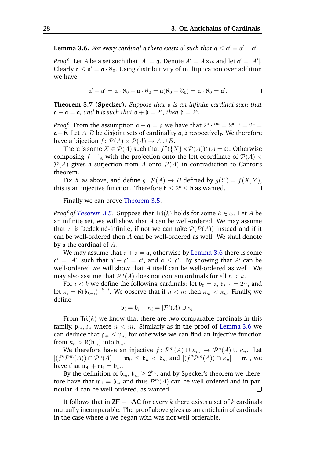<span id="page-32-0"></span>**Lemma 3.6.** For every cardinal a there exists  $a'$  such that  $a \le a' = a' + a'.$ 

*Proof.* Let  $A$  be a set such that  $|A| = \mathfrak{a}$ . Denote  $A' = A \times \omega$  and let  $\mathfrak{a}' = |A'|$ . Clearly  $\mathfrak{a} \leq \mathfrak{a}' = \mathfrak{a} \cdot \aleph_0$ . Using distributivity of multiplication over addition we have

$$
\mathfrak{a}'+\mathfrak{a}'=\mathfrak{a}\cdot\aleph_0+\mathfrak{a}\cdot\aleph_0=\mathfrak{a}(\aleph_0+\aleph_0)=\mathfrak{a}\cdot\aleph_0=\mathfrak{a}'.
$$

**Theorem 3.7 (Specker).** *Suppose that* a *is an infinite cardinal such that*  $a + a = a$ , and b is such that  $a + b = 2^a$ , then  $b = 2^a$ .

*Proof.* From the assumption  $\mathfrak{a} + \mathfrak{a} = \mathfrak{a}$  we have that  $2^{\mathfrak{a}} \cdot 2^{\mathfrak{a}} = 2^{\mathfrak{a} + \mathfrak{a}} = 2^{\mathfrak{a}} =$  $a+b$ . Let A, B be disjoint sets of cardinality a, b respectively. We therefore have a bijection  $f: \mathcal{P}(A) \times \mathcal{P}(A) \rightarrow A \cup B$ .

There is some  $X \in \mathcal{P}(A)$  such that  $f''(\lbrace X \rbrace \times \mathcal{P}(A)) \cap A = \emptyset$ . Otherwise composing  $f^{-1}$  |A with the projection onto the left coordinate of  $\mathcal{P}(A) \times$  $P(A)$  gives a surjection from A onto  $P(A)$  in contradiction to Cantor's theorem.

Fix X as above, and define  $g: \mathcal{P}(A) \to B$  defined by  $g(Y) = f(X, Y)$ , this is an injective function. Therefore  $\mathfrak{b} \leq 2^{\mathfrak{a}} \leq \mathfrak{b}$  as wanted.  $\Box$ 

Finally we can prove [Theorem 3.5.](#page-31-1)

*Proof of [Theorem 3.5.](#page-31-1)* Suppose that  $\text{Tri}(k)$  holds for some  $k \in \omega$ . Let A be an infinite set, we will show that  $A$  can be well-ordered. We may assume that A is Dedekind-infinite, if not we can take  $\mathcal{P}(\mathcal{P}(A))$  instead and if it can be well-ordered then  $A$  can be well-ordered as well. We shall denote by a the cardinal of A.

We may assume that  $a + a = a$ , otherwise by [Lemma 3.6](#page-32-0) there is some  $\mathfrak{a}' = |A'|$  such that  $\mathfrak{a}' + \mathfrak{a}' = \mathfrak{a}'$ , and  $\mathfrak{a} \leq \mathfrak{a}'$ . By showing that A' can be well-ordered we will show that A itself can be well-ordered as well. We may also assume that  $\mathcal{P}^n(A)$  does not contain ordinals for all  $n < k$ .

For  $i < k$  we define the following cardinals: let  $\mathfrak{b}_0 = \mathfrak{a}, \mathfrak{b}_{i+1} = 2^{\mathfrak{b}_i}$ , and let  $\kappa_i = \aleph(\mathfrak{b}_{k-i})^{+k-i}.$  We observe that if  $n < m$  then  $\kappa_m < \kappa_n.$  Finally, we define

$$
\mathfrak{p}_i = \mathfrak{b}_i + \kappa_i = |\mathcal{P}^i(A) \cup \kappa_i|
$$

From **Tri**(k) we know that there are two comparable cardinals in this family,  $\mathfrak{p}_m, \mathfrak{p}_n$  where  $n < m$ . Similarly as in the proof of [Lemma 3.6](#page-32-0) we can deduce that  $\mathfrak{p}_m \leq \mathfrak{p}_n$ , for otherwise we can find an injective function from  $\kappa_n > \aleph(\mathfrak{b}_m)$  into  $\mathfrak{b}_m$ .

We therefore have an injective  $f: \mathcal{P}^m(A) \cup \kappa_m \to \mathcal{P}^n(A) \cup \kappa_n$ . Let  $|(f''\mathcal{P}^m(A)) \cap \mathcal{P}^n(A)| = \mathfrak{m}_0 \leq \mathfrak{b}_n < \mathfrak{b}_m$  and  $|(f''\mathcal{P}^m(A)) \cap \kappa_n| = \mathfrak{m}_1$ , we have that  $m_0 + m_1 = b_m$ .

By the definition of  $\mathfrak{b}_m, \mathfrak{b}_m \geq 2^{\mathfrak{b}_n},$  and by Specker's theorem we therefore have that  $\mathfrak{m}_1 = \mathfrak{b}_m$  and thus  $\mathcal{P}^m(A)$  can be well-ordered and in particular A can be well-ordered, as wanted.  $\Box$ 

It follows that in  $ZF + \neg AC$  for every k there exists a set of k cardinals mutually incomparable. The proof above gives us an antichain of cardinals in the case where a we began with was not well-orderable.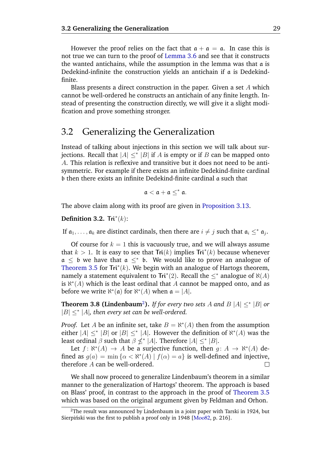However the proof relies on the fact that  $a + a = a$ . In case this is not true we can turn to the proof of [Lemma 3.6](#page-32-0) and see that it constructs the wanted antichains, while the assumption in the lemma was that a is Dedekind-infinite the construction yields an antichain if a is Dedekindfinite.

Blass presents a direct construction in the paper. Given a set  $A$  which cannot be well-ordered he constructs an antichain of any finite length. Instead of presenting the construction directly, we will give it a slight modification and prove something stronger.

### <span id="page-33-0"></span>3.2 Generalizing the Generalization

Instead of talking about injections in this section we will talk about surjections. Recall that  $|A| \leq^* |B|$  if A is empty or if B can be mapped onto A. This relation is reflexive and transitive but it does not need to be antisymmetric. For example if there exists an infinite Dedekind-finite cardinal b then there exists an infinite Dedekind-finite cardinal a such that

$$
\mathfrak{a}<\mathfrak{a}+\mathfrak{a}\leq^*\mathfrak{a}.
$$

The above claim along with its proof are given in [Proposition 3.13.](#page-36-0)

#### **Definition 3.2.**  $\text{Tri}^*(k)$ :

If  $a_1, \ldots, a_k$  are distinct cardinals, then there are  $i \neq j$  such that  $a_i \leq^* a_j$ .

Of course for  $k = 1$  this is vacuously true, and we will always assume that  $k > 1$ . It is easy to see that  $\text{Tri}(k)$  implies  $\text{Tri}^*(k)$  because whenever  $a \leq b$  we have that  $a \leq^* b$ . We would like to prove an analogue of [Theorem 3.5](#page-31-1) for  $\text{Tri}^*(k)$ . We begin with an analogue of Hartogs theorem, namely a statement equivalent to  $\text{Tri}^*(2)$ . Recall the  $\leq^*$  analogue of  $\aleph(A)$ is  $\aleph^*(A)$  which is the least ordinal that A cannot be mapped onto, and as before we write  $\aleph^*(\mathfrak{a})$  for  $\aleph^*(A)$  when  $\mathfrak{a} = |A|$ .

**Theorem 3.8 (Lindenbaum<sup>[2](#page-33-1)</sup>).** If for every two sets A and  $B$  |A|  $\leq^*$  |B| or  $|B| \leq^*$  |A|, then every set can be well-ordered.

*Proof.* Let *A* be an infinite set, take  $B = \aleph^*(A)$  then from the assumption either  $|A| \leq^* |B|$  or  $|B| \leq^* |A|$ . However the definition of  $\aleph^*(A)$  was the least ordinal  $\beta$  such that  $\beta \nleq^* |A|$ . Therefore  $|A| \leq^* |B|$ .

Let  $f: \aleph^*(A) \to A$  be a surjective function, then  $g: A \to \aleph^*(A)$  defined as  $g(a) = \min \{ \alpha < \aleph^*(A) \mid f(\alpha) = a \}$  is well-defined and injective, therefore A can be well-ordered.  $\Box$ 

We shall now proceed to generalize Lindenbaum's theorem in a similar manner to the generalization of Hartogs' theorem. The approach is based on Blass' proof, in contrast to the approach in the proof of [Theorem 3.5](#page-31-1) which was based on the original argument given by Feldman and Orhon.

<span id="page-33-1"></span> $2$ The result was announced by Lindenbaum in a joint paper with Tarski in 1924, but Sierpiński was the first to publish a proof only in  $1948$  [ $Mo<sub>0</sub>82$ , p. 216].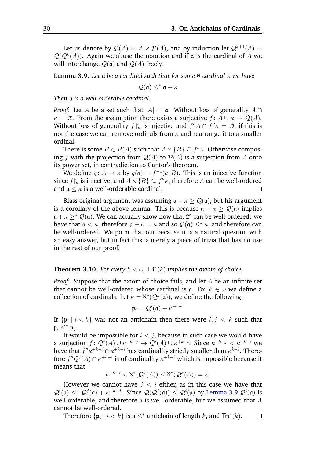Let us denote by  $Q(A) = A \times P(A)$ , and by induction let  $Q^{k+1}(A) =$  $\mathcal{Q}(\mathcal{Q}^k(A))$ . Again we abuse the notation and if a is the cardinal of A we will interchange  $Q(\mathfrak{a})$  and  $Q(A)$  freely.

<span id="page-34-0"></span>**Lemma 3.9.** *Let* a *be a cardinal such that for some*  $\aleph$  *cardinal*  $\kappa$  *we have* 

 $\mathcal{Q}(\mathfrak{a}) \leq^* \mathfrak{a} + \kappa$ 

*Then* a *is a well-orderable cardinal.*

*Proof.* Let A be a set such that  $|A| = \mathfrak{a}$ . Without loss of generality A ∩  $\kappa = \emptyset$ . From the assumption there exists a surjective  $f: A \cup \kappa \to \mathcal{Q}(A)$ . Without loss of generality  $f\upharpoonright_{\kappa}$  is injective and  $f''A \cap f''\kappa = \emptyset$ , if this is not the case we can remove ordinals from  $\kappa$  and rearrange it to a smaller ordinal.

There is some  $B \in \mathcal{P}(A)$  such that  $A \times \{B\} \subseteq f''\kappa$ . Otherwise composing f with the projection from  $Q(A)$  to  $P(A)$  is a surjection from A onto its power set, in contradiction to Cantor's theorem.

We define  $g: A \to \kappa$  by  $g(a) = f^{-1}(a, B)$ . This is an injective function since  $f{\upharpoonright}_\kappa$  is injective, and  $A\times{B} \subseteq f''\kappa$ , therefore A can be well-ordered and  $\mathfrak{a} \leq \kappa$  is a well-orderable cardinal.  $\Box$ 

Blass original argument was assuming  $\mathfrak{a} + \kappa \geq \mathcal{Q}(\mathfrak{a})$ , but his argument is a corollary of the above lemma. This is because  $\mathfrak{a} + \kappa > \mathcal{Q}(\mathfrak{a})$  implies  $a + \kappa \geq^* Q(a)$ . We can actually show now that 2<sup>a</sup> can be well-ordered: we have that  $\mathfrak{a} < \kappa$ , therefore  $\mathfrak{a} + \kappa = \kappa$  and so  $\mathcal{Q}(\mathfrak{a}) \leq^* \kappa$ , and therefore can be well-ordered. We point that out because it is a natural question with an easy answer, but in fact this is merely a piece of trivia that has no use in the rest of our proof.

#### **Theorem 3.10.** *For every*  $k < \omega$ , **Tri**<sup>\*</sup>( $k$ ) *implies the axiom of choice.*

*Proof.* Suppose that the axiom of choice fails, and let A be an infinite set that cannot be well-ordered whose cardinal is a. For  $k \in \omega$  we define a collection of cardinals. Let  $\kappa = \aleph^*(\mathcal{Q}^k(\mathfrak{a}))$ , we define the following:

$$
\mathfrak{p}_i = \mathcal{Q}^i(\mathfrak{a}) + \kappa^{+k-i}
$$

If  $\{\frak{p}_i\mid i < k\}$  was not an antichain then there were  $i,j < k$  such that  $\mathfrak{p}_i \leq^* \mathfrak{p}_j$ .

It would be impossible for  $i < j$ , because in such case we would have a surjection  $f\colon \mathcal{Q}^j(A)\cup \kappa^{+k-j}\to \mathcal{Q}^i(A)\cup \kappa^{+k-i}.$  Since  $\kappa^{+k-j}<\kappa^{+k-i}$  we have that  $f''\kappa^{+k-j} \cap \kappa^{+k-i}$  has cardinality strictly smaller than  $\kappa^{k-i}.$  Therefore  $f''Q^{j}(A) \cap \kappa^{+k-i}$  is of cardinality  $\kappa^{+k-i}$  which is impossible because it means that

$$
\kappa^{+k-i} < \aleph^*(\mathcal{Q}^j(A)) \le \aleph^*(\mathcal{Q}^k(A)) = \kappa.
$$

However we cannot have  $j < i$  either, as in this case we have that  $Q^i(\mathfrak{a}) \leq^* Q^j(\mathfrak{a}) + \kappa^{+k-j}$ . Since  $Q(Q^j(\mathfrak{a})) \leq Q^i(\mathfrak{a})$  by [Lemma 3.9](#page-34-0)  $Q^i(\mathfrak{a})$  is well-orderable, and therefore  $\alpha$  is well-orderable, but we assumed that  $A$ cannot be well-ordered.

Therefore  $\{\mathfrak{p}_i \mid i < k\}$  is a  $\leq^*$  antichain of length  $k$ , and  $\textsf{Tri}^*(k)$ .  $\Box$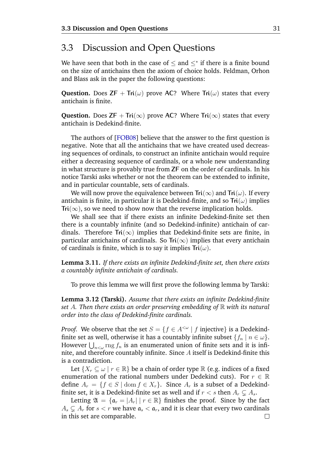### <span id="page-35-0"></span>3.3 Discussion and Open Questions

We have seen that both in the case of  $\leq$  and  $\leq^*$  if there is a finite bound on the size of antichains then the axiom of choice holds. Feldman, Orhon and Blass ask in the paper the following questions:

**Question.** Does  $ZF + Tri(\omega)$  prove AC? Where  $Tri(\omega)$  states that every antichain is finite.

**Question.** Does **ZF** + **Tri**( $\infty$ ) prove **AC**? Where **Tri**( $\infty$ ) states that every antichain is Dedekind-finite.

The authors of [[FOB08](#page-38-6)] believe that the answer to the first question is negative. Note that all the antichains that we have created used decreasing sequences of ordinals, to construct an infinite antichain would require either a decreasing sequence of cardinals, or a whole new understanding in what structure is provably true from **ZF** on the order of cardinals. In his notice Tarski asks whether or not the theorem can be extended to infinite, and in particular countable, sets of cardinals.

We will now prove the equivalence between  $\text{Tri}(\infty)$  and  $\text{Tri}(\omega)$ . If every antichain is finite, in particular it is Dedekind-finite, and so  $Tri(\omega)$  implies **Tri**( $\infty$ ), so we need to show now that the reverse implication holds.

We shall see that if there exists an infinite Dedekind-finite set then there is a countably infinite (and so Dedekind-infinite) antichain of cardinals. Therefore  $Tri(\infty)$  implies that Dedekind-finite sets are finite, in particular antichains of cardinals. So  $Tri(\infty)$  implies that every antichain of cardinals is finite, which is to say it implies  $\text{Tri}(\omega)$ .

<span id="page-35-1"></span>**Lemma 3.11.** *If there exists an infinite Dedekind-finite set, then there exists a countably infinite antichain of cardinals.*

To prove this lemma we will first prove the following lemma by Tarski:

<span id="page-35-2"></span>**Lemma 3.12 (Tarski).** *Assume that there exists an infinite Dedekind-finite set* A*. Then there exists an order preserving embedding of* R *with its natural order into the class of Dedekind-finite cardinals.*

*Proof.* We observe that the set  $S = \{f \in A^{\leq \omega} \mid f \text{ injective}\}\$ is a Dedekindfinite set as well, otherwise it has a countably infinite subset  $\{f_n | n \in \omega\}$ . However  $\bigcup_{n<\omega}$  rng  $f_n$  is an enumerated union of finite sets and it is infinite, and therefore countably infinite. Since A itself is Dedekind-finite this is a contradiction.

Let  $\{X_r \subseteq \omega \mid r \in \mathbb{R}\}$  be a chain of order type  $\mathbb R$  (e.g. indices of a fixed enumeration of the rational numbers under Dedekind cuts). For  $r \in \mathbb{R}$ define  $A_r = \{f \in S \mid \text{dom } f \in X_r\}$ . Since  $A_r$  is a subset of a Dedekindfinite set, it is a Dedekind-finite set as well and if  $r < s$  then  $A_r \subseteq A_s$ .

Letting  $\mathfrak{A} = {\mathfrak{a}_r = |A_r| | r \in \mathbb{R}}$  finishes the proof. Since by the fact  $A_s \subseteq A_r$  for  $s < r$  we have  $\mathfrak{a}_s < \mathfrak{a}_r$ , and it is clear that every two cardinals in this set are comparable. $\Box$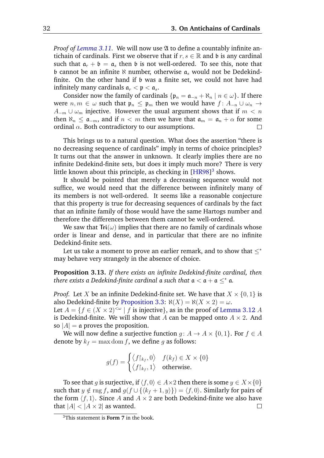*Proof of [Lemma 3.11.](#page-35-1)* We will now use  $\mathfrak A$  to define a countably infinite antichain of cardinals. First we observe that if  $r, s \in \mathbb{R}$  and b is any cardinal such that  $a_r + b = a_s$  then b is not well-ordered. To see this, note that b cannot be an infinite  $\aleph$  number, otherwise  $\mathfrak{a}_s$  would not be Dedekindfinite. On the other hand if b was a finite set, we could not have had infinitely many cardinals  $a_r < p < a_s$ .

Consider now the family of cardinals  $\{\mathfrak{p}_n = \mathfrak{a}_{-n} + \aleph_n \mid n \in \omega\}$ . If there were  $n, m \in \omega$  such that  $\mathfrak{p}_n \leq \mathfrak{p}_m$  then we would have  $f: A_{-n} \cup \omega_n \to$  $A_{-m} \cup \omega_m$  injective. However the usual argument shows that if  $m < n$ then  $\aleph_n \leq \mathfrak{a}_{-m}$ , and if  $n < m$  then we have that  $\mathfrak{a}_m = \mathfrak{a}_n + \alpha$  for some ordinal  $\alpha$ . Both contradictory to our assumptions.

This brings us to a natural question. What does the assertion "there is no decreasing sequence of cardinals" imply in terms of choice principles? It turns out that the answer in unknown. It clearly implies there are no infinite Dedekind-finite sets, but does it imply much more? There is very little known about this principle, as checking in [[HR98](#page-38-10)] [3](#page-36-1) shows.

It should be pointed that merely a decreasing sequence would not suffice, we would need that the difference between infinitely many of its members is not well-ordered. It seems like a reasonable conjecture that this property is true for decreasing sequences of cardinals by the fact that an infinite family of those would have the same Hartogs number and therefore the differences between them cannot be well-ordered.

We saw that  $\text{Tri}(\omega)$  implies that there are no family of cardinals whose order is linear and dense, and in particular that there are no infinite Dedekind-finite sets.

Let us take a moment to prove an earlier remark, and to show that  $\leq^*$ may behave very strangely in the absence of choice.

<span id="page-36-0"></span>**Proposition 3.13.** *If there exists an infinite Dedekind-finite cardinal, then there exists a Dedekind-finite cardinal* a *such that*  $a < a + a <^* a$ .

*Proof.* Let X be an infinite Dedekind-finite set. We have that  $X \times \{0, 1\}$  is also Dedekind-finite by [Proposition 3.3:](#page-31-2)  $\aleph(X) = \aleph(X \times 2) = \omega$ . Let  $A = \{f \in (X \times 2)^{<\omega} \mid f \text{ is injective}\},\$ as in the proof of [Lemma 3.12](#page-35-2) A is Dedekind-finite. We will show that A can be mapped onto  $A \times 2$ . And so  $|A| = \mathfrak{a}$  proves the proposition.

We will now define a surjective function  $q: A \to A \times \{0, 1\}$ . For  $f \in A$ denote by  $k_f = \max \text{dom } f$ , we define g as follows:

$$
g(f) = \begin{cases} \langle f|_{k_f}, 0 \rangle & f(k_f) \in X \times \{0\} \\ \langle f|_{k_f}, 1 \rangle & \text{otherwise.} \end{cases}
$$

To see that g is surjective, if  $\langle f, 0 \rangle \in A \times 2$  then there is some  $y \in X \times \{0\}$ such that  $y \notin \text{rng } f$ , and  $g(f \cup \{k_f + 1, y\}) = \langle f, 0 \rangle$ . Similarly for pairs of the form  $\langle f, 1 \rangle$ . Since A and  $A \times 2$  are both Dedekind-finite we also have that  $|A| < |A \times 2|$  as wanted. П

<span id="page-36-1"></span><sup>3</sup>This statement is **Form 7** in the book.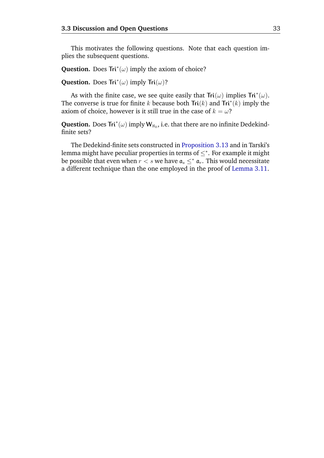This motivates the following questions. Note that each question implies the subsequent questions.

**Question.** Does  $Tri^*(\omega)$  imply the axiom of choice?

**Question.** Does  $\text{Tri}^*(\omega)$  imply  $\text{Tri}(\omega)$ ?

As with the finite case, we see quite easily that  $\text{Tri}(\omega)$  implies  $\text{Tri}^*(\omega)$ . The converse is true for finite k because both  $\text{Tri}(k)$  and  $\text{Tri}^*(k)$  imply the axiom of choice, however is it still true in the case of  $k = \omega$ ?

**Question.** Does  $\text{Tri}^*(\omega)$  imply  $\mathbf{W}_{\aleph_0}$ , i.e. that there are no infinite Dedekindfinite sets?

The Dedekind-finite sets constructed in [Proposition 3.13](#page-36-0) and in Tarski's lemma might have peculiar properties in terms of  $\leq^*$ . For example it might be possible that even when  $r < s$  we have  $a_s <^* a_r$ . This would necessitate a different technique than the one employed in the proof of [Lemma 3.11.](#page-35-1)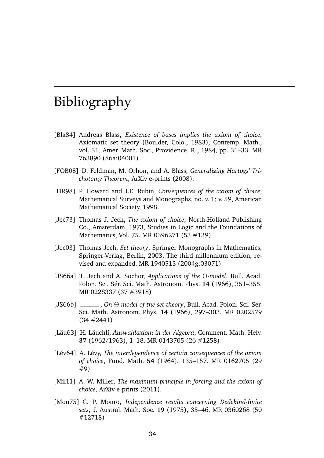### Bibliography

- <span id="page-38-1"></span><span id="page-38-0"></span>[Bla84] Andreas Blass, *Existence of bases implies the axiom of choice*, Axiomatic set theory (Boulder, Colo., 1983), Contemp. Math., vol. 31, Amer. Math. Soc., Providence, RI, 1984, pp. 31–33. MR 763890 (86a:04001)
- <span id="page-38-6"></span>[FOB08] D. Feldman, M. Orhon, and A. Blass, *Generalizing Hartogs' Trichotomy Theorem*, ArXiv e-prints (2008).
- <span id="page-38-10"></span>[HR98] P. Howard and J.E. Rubin, *Consequences of the axiom of choice*, Mathematical Surveys and Monographs, no. v. 1; v. 59, American Mathematical Society, 1998.
- <span id="page-38-5"></span>[Jec73] Thomas J. Jech, *The axiom of choice*, North-Holland Publishing Co., Amsterdam, 1973, Studies in Logic and the Foundations of Mathematics, Vol. 75. MR 0396271 (53 #139)
- <span id="page-38-7"></span>[Jec03] Thomas Jech, *Set theory*, Springer Monographs in Mathematics, Springer-Verlag, Berlin, 2003, The third millennium edition, revised and expanded. MR 1940513 (2004g:03071)
- <span id="page-38-3"></span>[JS66a] T. Jech and A. Sochor, *Applications of the* Θ*-model*, Bull. Acad. Polon. Sci. Sér. Sci. Math. Astronom. Phys. 14 (1966), 351-355. MR 0228337 (37 #3918)
- <span id="page-38-4"></span>[JS66b] \_\_\_\_\_, *On* Θ-model of the set theory, Bull. Acad. Polon. Sci. Sér. Sci. Math. Astronom. Phys. **14** (1966), 297–303. MR 0202579 (34 #2441)
- <span id="page-38-2"></span>[Läu63] H. Läuchli, Auswahlaxiom in der Algebra, Comment. Math. Helv. **37** (1962/1963), 1–18. MR 0143705 (26 #1258)
- <span id="page-38-11"></span>[Lév64] A. Lévy, *The interdependence of certain consequences of the axiom of choice*, Fund. Math. **54** (1964), 135–157. MR 0162705 (29 #9)
- <span id="page-38-8"></span>[Mil11] A. W. Miller, *The maximum principle in forcing and the axiom of choice*, ArXiv e-prints (2011).
- <span id="page-38-9"></span>[Mon75] G. P. Monro, *Independence results concerning Dedekind-finite sets*, J. Austral. Math. Soc. **19** (1975), 35–46. MR 0360268 (50 #12718)